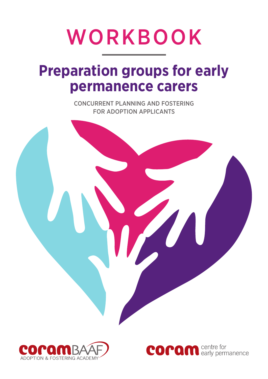# WORKBOOK

## **Preparation groups for early permanence carers**

CONCURRENT PLANNING AND FOSTERING FOR ADOPTION APPLICANTS



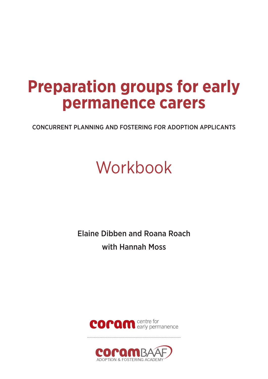# **Preparation groups for early permanence carers**

CONCURRENT PLANNING AND FOSTERING FOR ADOPTION APPLICANTS

# Workbook

Elaine Dibben and Roana Roach with Hannah Moss



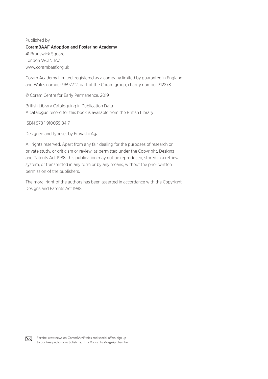### Published by CoramBAAF Adoption and Fostering Academy 41 Brunswick Square London WC1N 1AZ www.corambaaf.org.uk

Coram Academy Limited, registered as a company limited by guarantee in England and Wales number 9697712, part of the Coram group, charity number 312278

© Coram Centre for Early Permanence, 2019

British Library Cataloguing in Publication Data A catalogue record for this book is available from the British Library

ISBN 978 1 910039 84 7

Designed and typeset by Fravashi Aga

All rights reserved. Apart from any fair dealing for the purposes of research or private study, or criticism or review, as permitted under the Copyright, Designs and Patents Act 1988, this publication may not be reproduced, stored in a retrieval system, or transmitted in any form or by any means, without the prior written permission of the publishers.

The moral right of the authors has been asserted in accordance with the Copyright, Designs and Patents Act 1988.

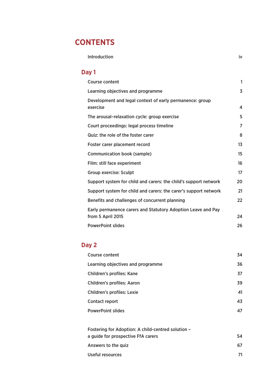## **CONTENTS**

### Introduction iv

### **Day 1**

| <b>Course content</b>                                                | 1  |
|----------------------------------------------------------------------|----|
| Learning objectives and programme                                    | 3  |
| Development and legal context of early permanence: group<br>exercise | 4  |
| The arousal-relaxation cycle: group exercise                         | 5  |
| Court proceedings: legal process timeline                            | 7  |
| Quiz: the role of the foster carer                                   | 8  |
| Foster carer placement record                                        | 13 |
| <b>Communication book (sample)</b>                                   | 15 |
| Film: still face experiment                                          | 16 |
| <b>Group exercise: Sculpt</b>                                        | 17 |
| Support system for child and carers: the child's support network     | 20 |
| Support system for child and carers: the carer's support network     | 21 |
| Benefits and challenges of concurrent planning                       | 22 |
| Early permanence carers and Statutory Adoption Leave and Pay         |    |
| from 5 April 2015                                                    | 24 |
| <b>PowerPoint slides</b>                                             | 26 |

### **Day 2**

| Course content                                     | 34 |
|----------------------------------------------------|----|
| Learning objectives and programme                  | 36 |
| Children's profiles: Kane                          | 37 |
| <b>Children's profiles: Aaron</b>                  | 39 |
| <b>Children's profiles: Lexie</b>                  | 41 |
| Contact report                                     | 43 |
| <b>PowerPoint slides</b>                           | 47 |
|                                                    |    |
| Fostering for Adoption: A child-centred solution - |    |

| FOSLETING TOT AGODITION. A CHINE-CENTREG SOMINON - |    |
|----------------------------------------------------|----|
| a guide for prospective FfA carers                 | 54 |
| Answers to the quiz                                | 67 |
| Useful resources                                   | 71 |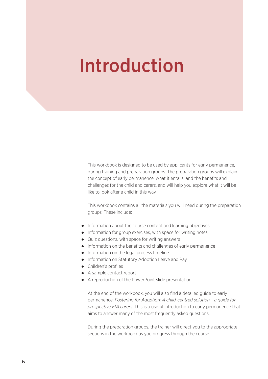# Introduction

This workbook is designed to be used by applicants for early permanence, during training and preparation groups. The preparation groups will explain the concept of early permanence, what it entails, and the benefits and challenges for the child and carers, and will help you explore what it will be like to look after a child in this way.

This workbook contains all the materials you will need during the preparation groups. These include:

- Information about the course content and learning objectives
- Information for group exercises, with space for writing notes
- Quiz questions, with space for writing answers
- Information on the benefits and challenges of early permanence
- Information on the legal process timeline
- Information on Statutory Adoption Leave and Pay
- Children's profiles
- A sample contact report
- A reproduction of the PowerPoint slide presentation

At the end of the workbook, you will also find a detailed guide to early permanence: *Fostering for Adoption: A child-centred solution – a guide for prospective FfA carers*. This is a useful introduction to early permanence that aims to answer many of the most frequently asked questions.

During the preparation groups, the trainer will direct you to the appropriate sections in the workbook as you progress through the course.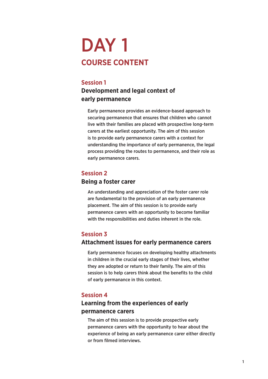## DAY 1 **COURSE CONTENT**

### **Session 1**

### **Development and legal context of early permanence**

Early permanence provides an evidence-based approach to securing permanence that ensures that children who cannot live with their families are placed with prospective long-term carers at the earliest opportunity. The aim of this session is to provide early permanence carers with a context for understanding the importance of early permanence, the legal process providing the routes to permanence, and their role as early permanence carers.

### **Session 2**

### **Being a foster carer**

An understanding and appreciation of the foster carer role are fundamental to the provision of an early permanence placement. The aim of this session is to provide early permanence carers with an opportunity to become familiar with the responsibilities and duties inherent in the role.

### **Session 3**

### **Attachment issues for early permanence carers**

Early permanence focuses on developing healthy attachments in children in the crucial early stages of their lives, whether they are adopted or return to their family. The aim of this session is to help carers think about the benefits to the child of early permanance in this context.

### **Session 4**

### **Learning from the experiences of early permanence carers**

The aim of this session is to provide prospective early permanence carers with the opportunity to hear about the experience of being an early permanence carer either directly or from filmed interviews.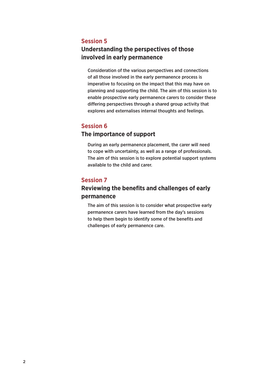### **Session 5**

### **Understanding the perspectives of those involved in early permanence**

Consideration of the various perspectives and connections of all those involved in the early permanence process is imperative to focusing on the impact that this may have on planning and supporting the child. The aim of this session is to enable prospective early permanence carers to consider these differing perspectives through a shared group activity that explores and externalises internal thoughts and feelings.

### **Session 6**

### **The importance of support**

During an early permanence placement, the carer will need to cope with uncertainty, as well as a range of professionals. The aim of this session is to explore potential support systems available to the child and carer.

### **Session 7**

### **Reviewing the benefits and challenges of early permanence**

The aim of this session is to consider what prospective early permanence carers have learned from the day's sessions to help them begin to identify some of the benefits and challenges of early permanence care.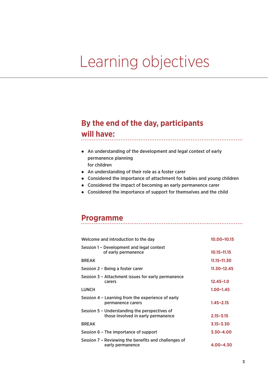# Learning objectives

## **By the end of the day, participants**

### **will have:**

- An understanding of the development and legal context of early permanence planning for children
- An understanding of their role as a foster carer
- Considered the importance of attachment for babies and young children

- Considered the impact of becoming an early permanence carer
- Considered the importance of support for themselves and the child

### **Programme**

| Welcome and introduction to the day                                                 | 10.00-10.15     |
|-------------------------------------------------------------------------------------|-----------------|
| Session 1 – Development and legal context<br>of early permanence                    | $10.15 - 11.15$ |
| <b>BREAK</b>                                                                        | 11.15–11.30     |
| Session 2 – Being a foster carer                                                    | $11.30 - 12.45$ |
| Session 3 - Attachment issues for early permanence<br>carers                        | $12.45 - 1.0$   |
| <b>LUNCH</b>                                                                        | $1.00 - 1.45$   |
| Session 4 – Learning from the experience of early<br>permanence carers              | $1.45 - 2.15$   |
| Session 5 - Understanding the perspectives of<br>those involved in early permanence | $2.15 - 3.15$   |
| <b>BREAK</b>                                                                        | $3.15 - 3.30$   |
| Session 6 - The importance of support                                               | $3.30 - 4.00$   |
| Session 7 – Reviewing the benefits and challenges of<br>early permanence            | $4.00 - 4.30$   |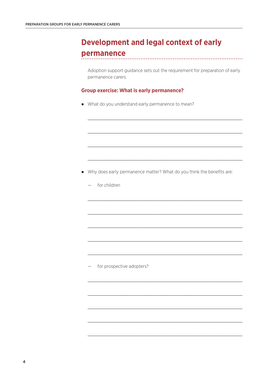### **Development and legal context of early** permanence

Adoption support guidance sets out the requirement for preparation of early permanence carers.

### **Group exercise: What is early permanence?**

• What do you understand early permanence to mean?

- Why does early permanence matter? What do you think the benefits are:
	- for children

for prospective adopters?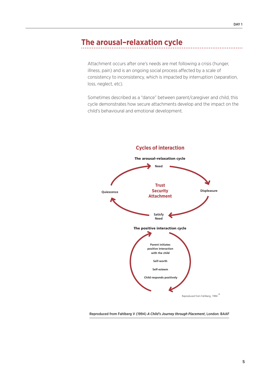### **The arousal–relaxation cycle**

Attachment occurs after one's needs are met following a crisis (hunger, illness, pain) and is an ongoing social process affected by a scale of consistency to inconsistency, which is impacted by interruption (separation, loss, neglect, etc).

> Sometimes described as a "dance" between parent/caregiver and child, this cycle demonstrates how secure attachments develop and the impact on the child's behavioural and emotional development. attachments developed between and primary caregiver and the implications and the implications and the implications of the implications of the implications of the implications of the implications of the implications of the



Reproduced from Fahlberg V (1994) *A Child's Journey through Placement*, London: BAAF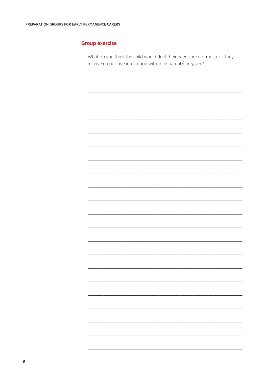### **Group exercise**

What do you think the child would do if their needs are not met, or if they receive no positive interaction with their parent/caregiver?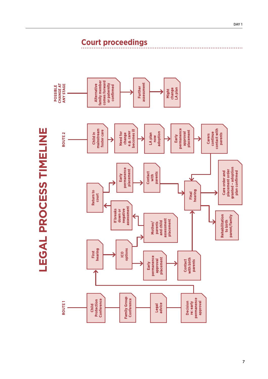| <b>CHANGE AT</b><br><b>ANY STAGE</b><br>POSSIBLE | family member<br>comes forward<br>assessment<br><b>Alternative</b><br>or paternity<br>confirmed<br><b>Further</b><br>change<br>LA plan<br>Might                                                                                              |
|--------------------------------------------------|----------------------------------------------------------------------------------------------------------------------------------------------------------------------------------------------------------------------------------------------|
| <br> -<br> <br> <br> <br>ROUTE <sub>2</sub>      | permanence<br>contact with<br>mainstream<br>foster care<br>becomes ill<br>placement<br>e.g. carer<br>adoption<br>continue<br><b>Need for</b><br>approval<br>Child in<br>change<br>parents<br>LA plan<br><b>Carers</b><br>Early<br><b>NOW</b> |
| )<br>」<br>)                                      | granted - adoption<br>permanence<br>placement<br>placement order<br>plan confirmed<br>Care order and<br><b>Contact</b><br>parents<br>Early<br>with<br>hearing<br><b>Return to</b><br>Final<br>court                                          |
| Í<br>٦<br>ļ<br>ì                                 | assessment<br>negative<br>If breaks<br>down or<br>Rehabilitation<br>parent/family<br>assessment<br>placement<br>to birth<br>and child<br>Mother/<br>parents<br>options<br>hearing<br>First<br><b>ICO</b>                                     |
| İ                                                | permanence<br>placement<br><b>Contact</b><br>with birth<br><b>approval</b><br>parents<br>Early                                                                                                                                               |
| ROUTE <sub>1</sub>                               | <b>Family Group</b><br>permanence<br>Conference<br>Conference<br>Protection<br><b>levoudde</b><br><b>Decision</b><br>re: early<br>advice<br><b>Legal</b><br>Child                                                                            |

LEGAL PROCESS TIMELINE **LEGAL PROCESS TIMELINE** **Court proceedings**

. . . . . .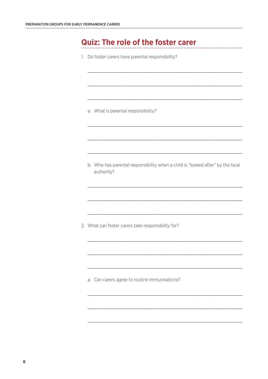### **Quiz: The role of the foster carer**

1. Do foster carers have parental responsibility?

a. What is parental responsibility?

b. Who has parental responsibility when a child is "looked after" by the local authority?

2. What can foster carers take responsibility for?

a. Can carers agree to routine immunisations?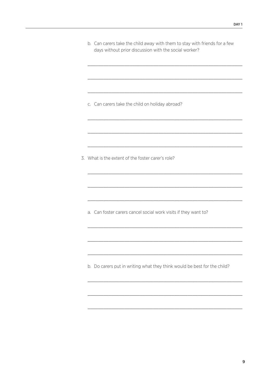| b. Can carers take the child away with them to stay with friends for a few |
|----------------------------------------------------------------------------|
| days without prior discussion with the social worker?                      |

c. Can carers take the child on holiday abroad?

3. What is the extent of the foster carer's role?

a. Can foster carers cancel social work visits if they want to?

b. Do carers put in writing what they think would be best for the child?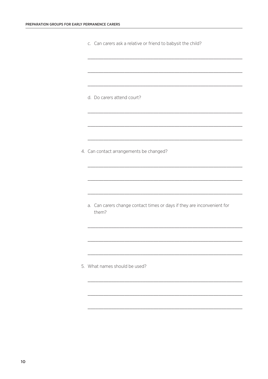| c. Can carers ask a relative or friend to babysit the child? |  |  |  |  |
|--------------------------------------------------------------|--|--|--|--|
|                                                              |  |  |  |  |

d. Do carers attend court?

4. Can contact arrangements be changed?

a. Can carers change contact times or days if they are inconvenient for them?

5. What names should be used?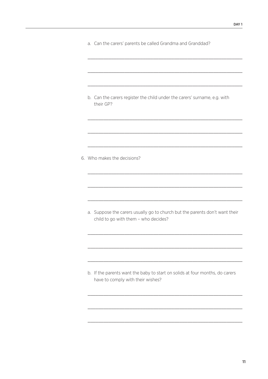a. Can the carers' parents be called Grandma and Granddad?

b. Can the carers register the child under the carers' surname, e.g. with their GP?

6. Who makes the decisions?

a. Suppose the carers usually go to church but the parents don't want their child to go with them - who decides?

b. If the parents want the baby to start on solids at four months, do carers have to comply with their wishes?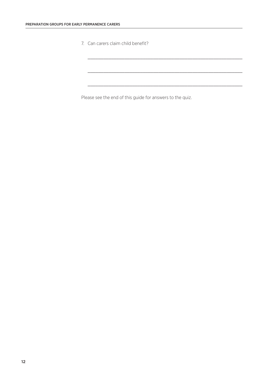7. Can carers claim child benefit?

Please see the end of this guide for answers to the quiz.

\_\_\_\_\_\_\_\_\_\_\_\_\_\_\_\_\_\_\_\_\_\_\_\_\_\_\_\_\_\_\_\_\_\_\_\_\_\_\_\_\_\_\_\_\_\_\_\_\_\_\_\_\_\_\_\_\_\_\_

\_\_\_\_\_\_\_\_\_\_\_\_\_\_\_\_\_\_\_\_\_\_\_\_\_\_\_\_\_\_\_\_\_\_\_\_\_\_\_\_\_\_\_\_\_\_\_\_\_\_\_\_\_\_\_\_\_\_\_

\_\_\_\_\_\_\_\_\_\_\_\_\_\_\_\_\_\_\_\_\_\_\_\_\_\_\_\_\_\_\_\_\_\_\_\_\_\_\_\_\_\_\_\_\_\_\_\_\_\_\_\_\_\_\_\_\_\_\_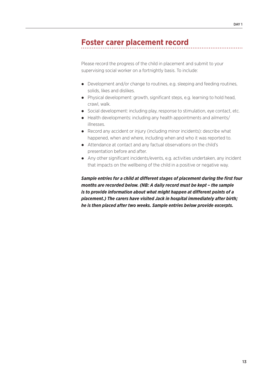### **Foster carer placement record**

Please record the progress of the child in placement and submit to your supervising social worker on a fortnightly basis. To include:

- Development and/or change to routines, e.g. sleeping and feeding routines, solids, likes and dislikes.
- Physical development: growth, significant steps, e.g. learning to hold head, crawl, walk.
- Social development: including play, response to stimulation, eye contact, etc.
- Health developments: including any health appointments and ailments/ illnesses.
- Record any accident or injury (including minor incidents): describe what happened, when and where, including when and who it was reported to.
- Attendance at contact and any factual observations on the child's presentation before and after.
- Any other significant incidents/events, e.g. activities undertaken, any incident that impacts on the wellbeing of the child in a positive or negative way.

*Sample entries for a child at different stages of placement during the first four months are recorded below. (NB: A daily record must be kept – the sample is to provide information about what might happen at different points of a placement.) The carers have visited Jack in hospital immediately after birth; he is then placed after two weeks. Sample entries below provide excerpts.*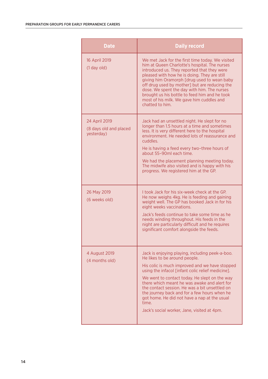| <b>Date</b>                                           | <b>Daily record</b>                                                                                                                                                                                                                                                                                                                                                                                                                                                                                |
|-------------------------------------------------------|----------------------------------------------------------------------------------------------------------------------------------------------------------------------------------------------------------------------------------------------------------------------------------------------------------------------------------------------------------------------------------------------------------------------------------------------------------------------------------------------------|
| 16 April 2019<br>$(1$ day old)                        | We met Jack for the first time today. We visited<br>him at Queen Charlotte's hospital. The nurses<br>introduced us. They reported that they were<br>pleased with how he is doing. They are still<br>giving him Oramorph [drug used to wean baby<br>off drug used by mother] but are reducing the<br>dose. We spent the day with him. The nurses<br>brought us his bottle to feed him and he took<br>most of his milk. We gave him cuddles and<br>chatted to him.                                   |
| 24 April 2019<br>(8 days old and placed<br>yesterday) | Jack had an unsettled night. He slept for no<br>longer than 1.5 hours at a time and sometimes<br>less. It is very different here to the hospital<br>environment. He needed lots of reassurance and<br>cuddles.<br>He is having a feed every two-three hours of<br>about 55-90ml each time.<br>We had the placement planning meeting today.<br>The midwife also visited and is happy with his<br>progress. We registered him at the GP.                                                             |
| 26 May 2019<br>(6 weeks old)                          | I took Jack for his six-week check at the GP.<br>He now weighs 4kg. He is feeding and gaining<br>weight well. The GP has booked Jack in for his<br>eight weeks vaccinations.<br>Jack's feeds continue to take some time as he<br>needs winding throughout. His feeds in the<br>night are particularly difficult and he requires<br>significant comfort alongside the feeds.                                                                                                                        |
| 4 August 2019<br>(4 months old)                       | Jack is enjoying playing, including peek-a-boo.<br>He likes to be around people.<br>His colic is much improved and we have stopped<br>using the infacol [infant colic relief medicine].<br>We went to contact today. He slept on the way<br>there which meant he was awake and alert for<br>the contact session. He was a bit unsettled on<br>the journey back and for a few hours when he<br>got home. He did not have a nap at the usual<br>time.<br>Jack's social worker, Jane, visited at 4pm. |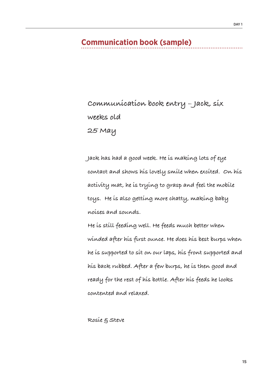### **Communication book (sample)**

**Communication book entry – Jack, six weeks old 25 May** 

**Jack has had a good week. He is making lots of eye contact and shows his lovely smile when excited. On his activity mat, he is trying to grasp and feel the mobile toys. He is also getting more chatty, making baby noises and sounds.**

**He is still feeding well. He feeds much better when winded after his first ounce. He does his best burps when he is supported to sit on our laps, his front supported and his back rubbed. After a few burps, he is then good and ready for the rest of his bottle. After his feeds he looks contented and relaxed.**

**Rosie & Steve**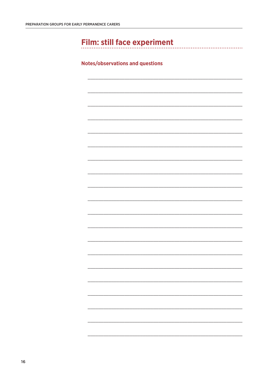## Film: still face experiment

### **Notes/observations and questions**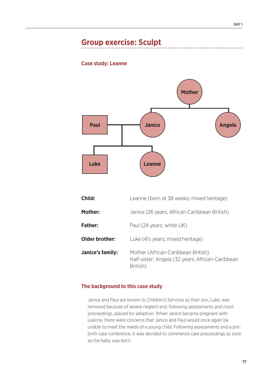### **Group exercise: Sculpt**

### **Case study: Leanne**



| Child:           | Leanne (born at 38 weeks; mixed heritage)                                                          |
|------------------|----------------------------------------------------------------------------------------------------|
| Mother:          | Janice (26 years; African-Caribbean British)                                                       |
| <b>Father:</b>   | Paul (24 years; white UK)                                                                          |
| Older brother:   | Luke (4 <sup>1/2</sup> years; mixed heritage)                                                      |
| Janice's family: | Mother (African-Caribbean British)<br>Half-sister: Angela (32 years; African-Caribbean<br>British) |

### **The background to this case study**

Janice and Paul are known to Children's Services as their son, Luke, was removed because of severe neglect and, following assessments and court proceedings, placed for adoption. When Janice became pregnant with Leanne, there were concerns that Janice and Paul would once again be unable to meet the needs of a young child. Following assessments and a prebirth case conference, it was decided to commence care proceedings as soon as the baby was born.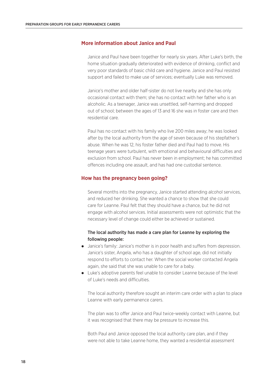### **More information about Janice and Paul**

Janice and Paul have been together for nearly six years. After Luke's birth, the home situation gradually deteriorated with evidence of drinking, conflict and very poor standards of basic child care and hygiene. Janice and Paul resisted support and failed to make use of services; eventually Luke was removed.

Janice's mother and older half-sister do not live nearby and she has only occasional contact with them; she has no contact with her father who is an alcoholic. As a teenager, Janice was unsettled, self-harming and dropped out of school; between the ages of 13 and 16 she was in foster care and then residential care.

Paul has no contact with his family who live 200 miles away; he was looked after by the local authority from the age of seven because of his stepfather's abuse. When he was 12, his foster father died and Paul had to move. His teenage years were turbulent, with emotional and behavioural difficulties and exclusion from school. Paul has never been in employment; he has committed offences including one assault, and has had one custodial sentence.

#### **How has the pregnancy been going?**

Several months into the pregnancy, Janice started attending alcohol services, and reduced her drinking. She wanted a chance to show that she could care for Leanne. Paul felt that they should have a chance, but he did not engage with alcohol services. Initial assessments were not optimistic that the necessary level of change could either be achieved or sustained.

### The local authority has made a care plan for Leanne by exploring the following people:

- Janice's family: Janice's mother is in poor health and suffers from depression. Janice's sister, Angela, who has a daughter of school age, did not initially respond to efforts to contact her. When the social worker contacted Angela again, she said that she was unable to care for a baby.
- Luke's adoptive parents feel unable to consider Leanne because of the level of Luke's needs and difficulties.

The local authority therefore sought an interim care order with a plan to place Leanne with early permanence carers.

The plan was to offer Janice and Paul twice-weekly contact with Leanne, but it was recognised that there may be pressure to increase this.

Both Paul and Janice opposed the local authority care plan, and if they were not able to take Leanne home, they wanted a residential assessment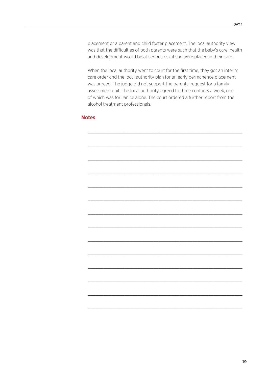placement or a parent and child foster placement. The local authority view was that the difficulties of both parents were such that the baby's care, health and development would be at serious risk if she were placed in their care.

When the local authority went to court for the first time, they got an interim care order and the local authority plan for an early permanence placement was agreed. The judge did not support the parents' request for a family assessment unit. The local authority agreed to three contacts a week, one of which was for Janice alone. The court ordered a further report from the alcohol treatment professionals.

### **Notes**

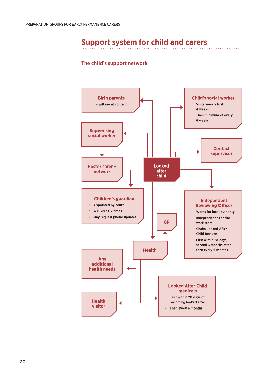### **Support system for child and carers**

. . . . . . .

### **The child's support network**

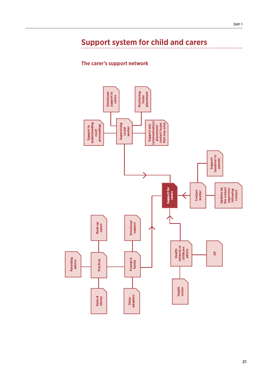## **Support system for child and carers**

### **The carer's support network**

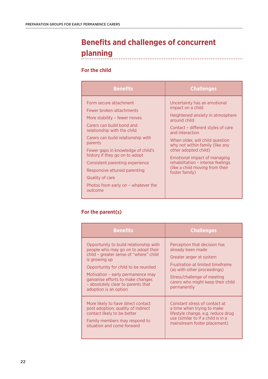### **Benefits and challenges of concurrent planning**

### **For the child**

| <b>Benefits</b>                                                                                                                                                                                                                                                                                                                                                                                                 | <b>Challenges</b>                                                                                                                                                                                                                                                                                                                                                                      |
|-----------------------------------------------------------------------------------------------------------------------------------------------------------------------------------------------------------------------------------------------------------------------------------------------------------------------------------------------------------------------------------------------------------------|----------------------------------------------------------------------------------------------------------------------------------------------------------------------------------------------------------------------------------------------------------------------------------------------------------------------------------------------------------------------------------------|
| Form secure attachment<br>Fewer broken attachments<br>More stability - fewer moves<br>Carers can build bond and<br>relationship with the child<br>Carers can build relationship with<br>parents<br>Fewer gaps in knowledge of child's<br>history if they go on to adopt<br>Consistent parenting experience<br>Responsive attuned parenting<br>Quality of care<br>Photos from early on - whatever the<br>outcome | Uncertainty has an emotional<br>impact on a child<br>Heightened anxiety in atmosphere<br>around child<br>Contact - different styles of care<br>and interaction<br>When older, will child question<br>why not within family (like any<br>other adopted child)<br>Emotional impact of managing<br>rehabilitation - intense feelings<br>(like a child moving from their<br>foster family) |

### **For the parent(s)**

| <b>Benefits</b>                                                                                                                                                                                                                                                                                                           | <b>Challenges</b>                                                                                                                                                                                                                         |
|---------------------------------------------------------------------------------------------------------------------------------------------------------------------------------------------------------------------------------------------------------------------------------------------------------------------------|-------------------------------------------------------------------------------------------------------------------------------------------------------------------------------------------------------------------------------------------|
| Opportunity to build relationship with<br>people who may go on to adopt their<br>child – greater sense of "where" child<br>is growing up<br>Opportunity for child to be reunited<br>Motivation – early permanence may<br>galvanise efforts to make changes<br>- absolutely clear to parents that<br>adoption is an option | Perception that decision has<br>already been made<br>Greater anger at system<br><b>Frustration at limited timeframe</b><br>(as with other proceedings)<br>Stress/challenge of meeting<br>carers who might keep their child<br>permanently |
| More likely to have direct contact<br>post adoption; quality of indirect<br>contact likely to be better<br>Family members may respond to<br>situation and come forward                                                                                                                                                    | Constant stress of contact at<br>a time when trying to make<br>lifestyle change, e.g. reduce drug<br>use (similar to if a child is in a<br>mainstream foster placement)                                                                   |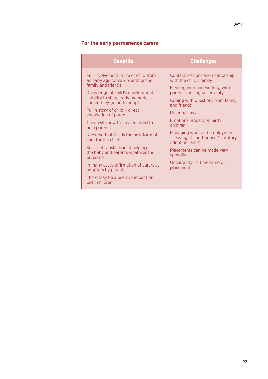### **For the early permanence carers**

| <b>Benefits</b>                                                                                                                                                                                                                                                                                                                                                                                                                                                                                                                                                                                           | <b>Challenges</b>                                                                                                                                                                                                                                                                                                                                                                                                                     |
|-----------------------------------------------------------------------------------------------------------------------------------------------------------------------------------------------------------------------------------------------------------------------------------------------------------------------------------------------------------------------------------------------------------------------------------------------------------------------------------------------------------------------------------------------------------------------------------------------------------|---------------------------------------------------------------------------------------------------------------------------------------------------------------------------------------------------------------------------------------------------------------------------------------------------------------------------------------------------------------------------------------------------------------------------------------|
| Full involvement in life of child from<br>an early age for carers and for their<br>family and friends<br>Knowledge of child's development<br>- ability to share early memories<br>should they go on to adopt<br>Full history of child - direct<br>knowledge of parents<br>Child will know that carers tried to<br>help parents<br>Knowing that this is the best form of<br>care for the child<br>Sense of satisfaction at helping<br>the baby and parents whatever the<br>outcome<br>In many cases affirmation of carers as<br>adopters by parents<br>There may be a positive impact on<br>birth children | Contact sessions and relationship<br>with the child's family<br>Meeting with and working with<br>parents causing uncertainty<br>Coping with questions from family<br>and friends<br><b>Potential loss</b><br>Emotional impact on birth<br>children<br>Managing work and employment<br>- leaving at short notice (statutory<br>adoption leave)<br>Placements can be made very<br>speedily<br>Uncertainty re: timeframe of<br>placement |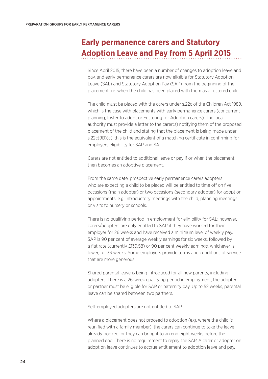## **Early permanence carers and Statutory Adoption Leave and Pay from 5 April 2015**

Since April 2015, there have been a number of changes to adoption leave and pay, and early permanence carers are now eligible for Statutory Adoption Leave (SAL) and Statutory Adoption Pay (SAP) from the beginning of the placement, i.e. when the child has been placed with them as a fostered child.

The child must be placed with the carers under s.22c of the Children Act 1989, which is the case with placements with early permanence carers (concurrent planning, foster to adopt or Fostering for Adoption carers). The local authority must provide a letter to the carer(s) notifying them of the proposed placement of the child and stating that the placement is being made under s.22c(9B)(c); this is the equivalent of a matching certificate in confirming for employers eligibility for SAP and SAL.

Carers are not entitled to additional leave or pay if or when the placement then becomes an adoptive placement.

From the same date, prospective early permanence carers adopters who are expecting a child to be placed will be entitled to time off on five occasions (main adopter) or two occasions (secondary adopter) for adoption appointments, e.g. introductory meetings with the child, planning meetings or visits to nursery or schools.

There is no qualifying period in employment for eligibility for SAL; however, carers/adopters are only entitled to SAP if they have worked for their employer for 26 weeks and have received a minimum level of weekly pay. SAP is 90 per cent of average weekly earnings for six weeks, followed by a flat rate (currently £139.58) or 90 per cent weekly earnings, whichever is lower, for 33 weeks. Some employers provide terms and conditions of service that are more generous.

Shared parental leave is being introduced for all new parents, including adopters. There is a 26-week qualifying period in employment; the adopter or partner must be eligible for SAP or paternity pay. Up to 52 weeks, parental leave can be shared between two partners.

Self-employed adopters are not entitled to SAP.

Where a placement does not proceed to adoption (e.g. where the child is reunified with a family member), the carers can continue to take the leave already booked, or they can bring it to an end eight weeks before the planned end. There is no requirement to repay the SAP. A carer or adopter on adoption leave continues to accrue entitlement to adoption leave and pay.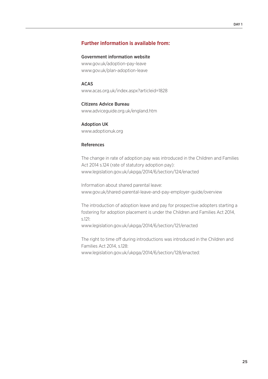### **Further information is available from:**

#### Government information website

www.gov.uk/adoption-pay-leave www.gov.uk/plan-adoption-leave

#### ACAS

www.acas.org.uk/index.aspx?articleid=1828

#### Citizens Advice Bureau

www.adviceguide.org.uk/england.htm

### Adoption UK www.adoptionuk.org

### References

The change in rate of adoption pay was introduced in the Children and Families Act 2014 s.124 (rate of statutory adoption pay): www.legislation.gov.uk/ukpga/2014/6/section/124/enacted

Information about shared parental leave: www.gov.uk/shared-parental-leave-and-pay-employer-guide/overview

The introduction of adoption leave and pay for prospective adopters starting a fostering for adoption placement is under the Children and Families Act 2014, s.121:

www.legislation.gov.uk/ukpga/2014/6/section/121/enacted

The right to time off during introductions was introduced in the Children and Families Act 2014, s.128: www.legislation.gov.uk/ukpga/2014/6/section/128/enacted: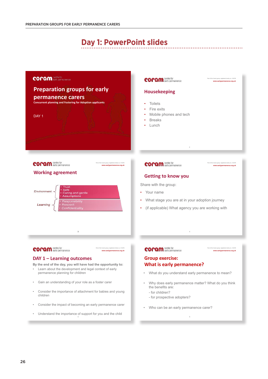### **Day 1: PowerPoint slides**



• Who can be an early permanence carer?

6

- Consider the impact of becoming an early permanence carer
- Understand the importance of support for you and the child

26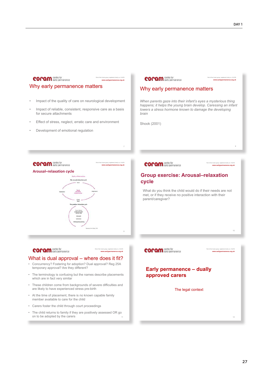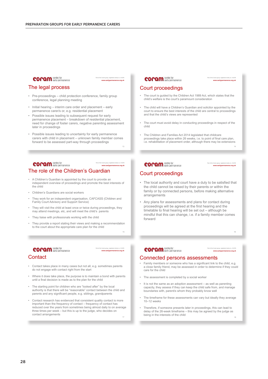### **COPAM** centre for

### The legal process

- Pre-proceedings child protection conference, family group conference, legal planning meeting
- Initial hearing interim care order and placement early permanence carer/s or, e.g. residential placement
- Possible issues leading to subsequent request for early permanence placement – breakdown of residential placement, need for change of foster carers, negative parenting assessment later in proceedings
- Possible issues leading to uncertainty for early permanence carers with child in placement – unknown family member comes forward to be assessed part-way through proceedings

#### **COPAM** centre for Part of the Coram group, registered charity no. 312278 **www.earlypermanence.org.uk** The role of the Children's Guardian

- A Children's Guardian is appointed by the court to provide an independent overview of proceedings and promote the best interests of the child
- Children's Guardians are social workers
- They work for an independent organisation, CAFCASS (Children and Family Court Advisory and Support Service)
- They will visit the child at least once or twice during proceedings, they may attend meetings, etc, and will meet the child's parents
- They liaise with professionals working with the child
- They provide a report stating their views and making a recommendation to the court about the appropriate care plan for the child

### **COPAM** centre for

#### Part of the Coram group, registered charity no. 312278 **www.earlypermanence.org.uk**

15

17

Part of the Coram group, registered charity no. 312278 **www.earlypermanence.org.uk**

#### **Contact**

- Contact takes place in many cases but not all, e.g. sometimes parents do not engage with contact right from the start
- Where it does take place, the purpose is to maintain a bond with parents until a final decision is made as to the plan for the child
- The starting point for children who are "looked after" by the local authority is that there will be "reasonable" contact between the child and parents and any significant people, e.g. siblings, grandparents
- Contact research has evidenced that consistent quality contact is more important than the frequency of contact – frequency of contact has reduced over the years from sometimes being almost daily to on average three times per week – but this is up to the judge, who decides on contact arrangements

### **COPAM** centre for

#### Part of the Coram group, registered charity no. 312278 **www.earlypermanence.org.uk**

14

Part of the Coram group, registered charity no. 312278 **www.earlypermanence.org.uk**

### Court proceedings

- The court is guided by the Children Act 1989 Act, which states that the child's welfare is the court's paramount consideration
- The child will have a Children's Guardian and solicitor appointed by the court to ensure the best interests of the child are central to proceedings and that the child's views are represented
- The court must avoid delay in conducting proceedings in respect of the child
- The Children and Families Act 2014 legislated that childcare proceedings take place within 26 weeks, i.e. to point of final care plan, i.e. rehabilitation of placement order, although there may be extensions

### **COPAM** centre for

### Court proceedings

- The local authority and court have a duty to be satisfied that the child cannot be raised by their parents or within the family or by connected persons, before making alternative arrangements
- Any plans for assessments and plans for contact during proceedings will be agreed at the first hearing and the timetable to final hearing will be set out – although be mindful that this can change, i.e. if a family member comes forward

### **COPAM** centre for

#### Part of the Coram group, registered charity no. 312278 **www.earlypermanence.org.uk**

16

### Connected persons assessments

- Family members or someone who has a significant link to the child, e.g. a close family friend, may be assessed in order to determine if they could care for the child
- The assessment is completed by a social worker
- It is not the same as an adoption assessment as well as parenting capacity, they assess if they can keep the child safe from, and manage boundaries with, parent/s whom they probably know well
- The timeframe for these assessments can vary but ideally they average 10–12 weeks
- Therefore, if someone presents later in proceedings, this can lead to delay of the 26-week timeframe – this may be agreed by the judge as being in the interests of the child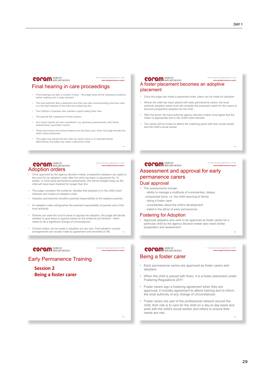Part of the Coram group, registered charity no. 312278 **www.earlypermanence.org.uk**

#### **COPAM** centre for

#### Final hearing in care proceedings

- Final hearings can take a number of days the judge hears all the necessary evidence before making such a major decision
- The local authority files a statement and final care plan recommending what they view is in the best interests of the child and evidencing why
- The Children's Guardian also submits a report stating their view
- The parents file a statement of their position
- Any expert reports are also considered, e.g. parenting assessments, birth family assessments, psychiatric reports
- These documents and verbal evidence are the basis upon which the judge decides the child's future placement
- The judge may decide that the child can return home or to extended family. Alternatively, the judge may make a placement order

#### **COPAM** centre for Adoption orders

Part of the Coram group, registered charity no. 312278 **www.earlypermanence.org.uk**

Part of the Coram group, registered charity no. 312278 **www.earlypermanence.org.uk**

19

Part of the Coram group, registered charity no. 312278 **www.earlypermanence.org.uk**

- Once approved by the agency decision-maker, prospective adopters can apply to the court for an adoption order after the child has been in placement for 10 weeks. In most early permanence placements, this will be straight away as the child will have been fostered for longer than this
- The judge considers the evidence, decides that adoption is in the child's best interests and makes an adoption order.
- Adoption permanently transfers parental responsibility to the adoptive parents
- An adoption order extinguishes the parental responsibility of parents and of the local authority
- Parents can seek the court's leave to oppose the adoption; the judge will decide whether to give leave to oppose based on the evidence put forward there needs to be a significant change of circumstances
- Contact orders can be made in adoption but are rare. Post-adoption contact arrangements are usually made by agreement and recorded on file

### **coram** centre for

### Early Permanence Training

**Session 2 Being a foster carer**

### **COPAM** centre for

### A foster placement becomes an adoptive placement

- Once the judge has made a placement order, plans can be made for adoption
- Where the child has been placed with early permanence carers, the local authority adoption panel must still consider the proposed match for the carers to become prospective adopters for the child
- After the panel, the local authority agency decision-maker must agree that the match is appropriate and in the child's best interests
- The carers will be invited to attend the matching panel with their social worker and the child's social worker

 $\overline{20}$ 

Part of the Coram group, registered charity no. 312278

#### **COPAM** centre for **www.earlypermanence.org.uk** Assessment and approval for early permanence carers Dual approval

- The assessments include:
	- ability to manage a multitude of uncertainties, delays,
	- unexpected turns, i.e. the child returning to family - being a foster carer
	-
	- uncertainties about the child's development - belief in the ethos of early permanence

#### Fostering for Adoption

• Approved adopters who wish to be approved as foster carers for a particular child by the agency decision-maker also need similar preparation and assessment

22

 $24$ 

### **coram** centre for

#### Part of the Coram group, registered charity no. 312278 **www.earlypermanence.org.uk**

### Being a foster carer

- Early permanence carers are approved as foster carers and adopters
- When the child is placed with them, it is a foster placement under Fostering Regulations 2011
- Foster carers sign a fostering agreement when they are approved; it includes agreement to attend training and to inform the local authority of any change of circumstances
- Foster carers are part of the professional network around the child; their role is to care for the child on a day-to-day basis and work with the child's social worker and others to ensure their needs are met.

23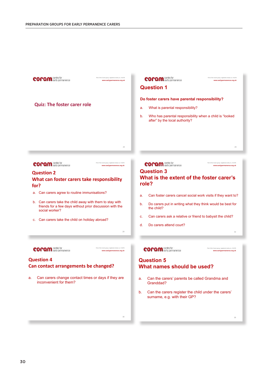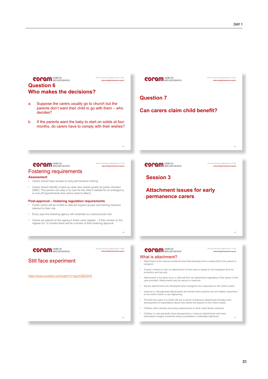| <b>COPAM</b> centre for<br>Part of the Coram group, registered charity no. 312278<br>www.earlypermanence.org.uk<br><b>Question 6</b><br>Who makes the decisions?                                                                                                                                                                                                                                                                                                           | <b>COPAM</b> centre for<br>Part of the Coram group, registered charity no. 312278<br>www.earlypermanence.org.uk               |
|----------------------------------------------------------------------------------------------------------------------------------------------------------------------------------------------------------------------------------------------------------------------------------------------------------------------------------------------------------------------------------------------------------------------------------------------------------------------------|-------------------------------------------------------------------------------------------------------------------------------|
| Suppose the carers usually go to church but the<br>a.<br>parents don't want their child to go with them – who<br>decides?<br>If the parents want the baby to start on solids at four<br>b.<br>months, do carers have to comply with their wishes?                                                                                                                                                                                                                          | <b>Question 7</b><br>Can carers claim child benefit?                                                                          |
| 40<br>Part of the Coram group, registered charity no. 312278                                                                                                                                                                                                                                                                                                                                                                                                               | 42<br>Part of the Coram group, registered charity no. 312278                                                                  |
| <b>COPOM</b> centre for<br>www.earlypermanence.org.uk<br><b>Fostering requirements</b>                                                                                                                                                                                                                                                                                                                                                                                     | <b>COPAM</b> centre for<br>www.earlypermanence.org.uk                                                                         |
| <b>Assessment</b><br>Carers should have access to early permanence training                                                                                                                                                                                                                                                                                                                                                                                                | <b>Session 3</b>                                                                                                              |
| Carers should identify a back-up carer who would usually be police checked<br>$\bullet$<br>(DBS). This person can step in to care for the child if needed for an emergency<br>or one-off appointments that carers need to attend<br>Post-approval – fostering regulation requirements<br>• Foster carers will be invited to relevant support groups and training sessions<br>relevant to their role<br>Every year the fostering agency will undertake an unannounced visit | <b>Attachment issues for early</b><br>permanence carers                                                                       |
| Carers are placed on the agency's foster carer register – if they remain on the<br>register for 12 months there will be a review of their fostering approval<br>44                                                                                                                                                                                                                                                                                                         | 45                                                                                                                            |
| <b>COPAM</b> centre for<br>Part of the Coram group, registered charity no. 312278<br>www.earlypermanence.org.uk                                                                                                                                                                                                                                                                                                                                                            | <b>COPAM</b> centre for<br>Part of the Coram group, registered charity no. 312278<br>www.earlypermanence.org.uk               |
| Still face experiment                                                                                                                                                                                                                                                                                                                                                                                                                                                      | What is attachment?<br>Attachment is the intense emotional bond that develops from a baby/child to the parent or<br>caregiver |
|                                                                                                                                                                                                                                                                                                                                                                                                                                                                            | . A baby's instinct to form an attachment to their carer is based on the biological drive for<br>protection and security      |
| https://www.youtube.com/watch?v=apzXGEbZht0                                                                                                                                                                                                                                                                                                                                                                                                                                | Attachment is not about love; a child will form an attachment regardless of the nature of the                                 |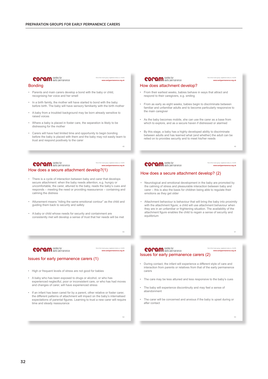## **COPAM** centre for

#### Part of the Coram group, registered charity no. 312278 **www.earlypermanence.org.uk**

#### Bonding

- Parents and main carers develop a bond with the baby or child, recognising her voice and her smell
- In a birth family, the mother will have started to bond with the baby before birth. The baby will have sensory familiarity with the birth mother
- A baby from a troubled background may be born already sensitive to raised voices
- Where a baby is placed in foster care, the separation is likely to be distressing for the mother
- Carers will have had limited time and opportunity to begin bonding before the baby is placed with them and the baby may not easily learn to trust and respond positively to the carer

48

#### **coram** centre for Part of the Coram group, registered charity no. 312278 **www.earlypermanence.org.uk** How does a secure attachment develop?(1)

- There is a cycle of interaction between baby and carer that develops secure attachment: when the baby needs attention, e.g. hungry or uncomfortable, the carer, attuned to the baby, reads the baby's cues and responds – meeting the need or providing reassurance – containing and calming the distress
- Attunement means "riding the same emotional contour" as the child and guiding them back to security and safety
- A baby or child whose needs for security and containment are consistently met will develop a sense of trust that her needs will be met

#### **COPAM** centre for

#### Part of the Coram group, registered charity no. 312278 **www.earlypermanence.org.uk**

#### Issues for early permanence carers (1)

- High or frequent levels of stress are not good for babies
- A baby who has been exposed to drugs or alcohol, or who has experienced neglectful, poor or inconsistent care, or who has had moves and changes of carer, will have experienced stress
- If an infant has been cared for by a parent, other relative or foster carer, the different patterns of attachment will impact on the baby's internalised expectations of parental figures. Learning to trust a new carer will require time and steady reassurance

#### **COPAM** centre for

#### How does attachment develop?

- From their earliest weeks, babies behave in ways that attract and respond to their caregivers, e.g. smiling
- From as early as eight weeks, babies begin to discriminate between familiar and unfamiliar adults and to become particularly responsive to the main caregiver
- As the baby becomes mobile, she can use the carer as a base from which to explore, and as a secure haven if distressed or alarmed
- By this stage, a baby has a highly developed ability to discriminate between adults and has learned what (and whether) the adult can be relied on to provides security and to meet his/her needs

49

Part of the Coram group, registered charity no. 312278 **www.earlypermanence.org.uk**

Part of the Coram group, registered charity no. 312278 **www.earlypermanence.org.uk**

**www.earlypermanence.org.uk**

#### **COPAM** centre for

#### How does a secure attachment develop? (2)

- Neurological and emotional development in the baby are promoted by the calming of stress and pleasurable interaction between baby and carer – this is also the basis for children being able to regulate their emotions as they get older
- Attachment behaviour is behaviour that will bring the baby into proximity with the attachment figure; a child will use attachment behaviour when they are in an unfamiliar or frightening situation. The availability of the attachment figure enables the child to regain a sense of security and equilibrium

#### **COPAM** centre for Part of the Coram group, registered charity no. 312278 Issues for early permanence carers (2)

- During contact, the infant will experience a different style of care and interaction from parents or relatives from that of the early permanence carers
- The care may be less attuned and less responsive to the baby's cues
- The baby will experience discontinuity and may feel a sense of abandonment
- The carer will be concerned and anxious if the baby is upset during or after contact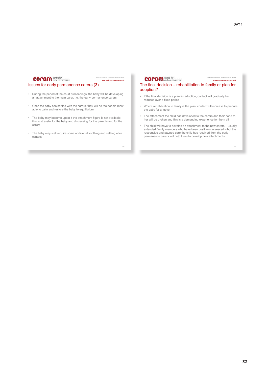#### **COPAM** centre for

Part of the Coram group, registered charity no. 312278 **www.earlypermanence.org.uk**

#### Issues for early permanence carers (3)

- During the period of the court proceedings, the baby will be developing an attachment to the main carer, i.e. the early permanence carers
- Once the baby has settled with the carers, they will be the people most able to calm and restore the baby to equilibrium
- The baby may become upset if the attachment figure is not available; this is stressful for the baby and distressing for the parents and for the carers
- The baby may well require some additional soothing and settling after contact

54

#### **COPAM** centre for

The final decision – rehabilitation to family or plan for adoption?

- If the final decision is a plan for adoption, contact will gradually be reduced over a fixed period
- Where rehabilitation to family is the plan, contact will increase to prepare the baby for a move
- The attachment the child has developed to the carers and their bond to her will be broken and this is a demanding experience for them all
- The child will have to develop an attachment to the new carers usually extended family members who have been positively assessed but the responsive and attuned care the child has received from the early permanence carers will help them to develop new attachments

55

Part of the Coram group, registered charity no. 312278 **www.earlypermanence.org.uk**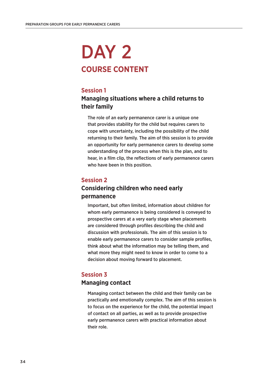# DAY<sub>2</sub> **COURSE CONTENT**

## **Session 1**

# **Managing situations where a child returns to their family**

The role of an early permanence carer is a unique one that provides stability for the child but requires carers to cope with uncertainty, including the possibility of the child returning to their family. The aim of this session is to provide an opportunity for early permanence carers to develop some understanding of the process when this is the plan, and to hear, in a film clip, the reflections of early permanence carers who have been in this position.

## **Session 2**

## **Considering children who need early permanence**

Important, but often limited, information about children for whom early permanence is being considered is conveyed to prospective carers at a very early stage when placements are considered through profiles describing the child and discussion with professionals. The aim of this session is to enable early permanence carers to consider sample profiles, think about what the information may be telling them, and what more they might need to know in order to come to a decision about moving forward to placement.

## **Session 3**

## **Managing contact**

Managing contact between the child and their family can be practically and emotionally complex. The aim of this session is to focus on the experience for the child, the potential impact of contact on all parties, as well as to provide prospective early permanence carers with practical information about their role.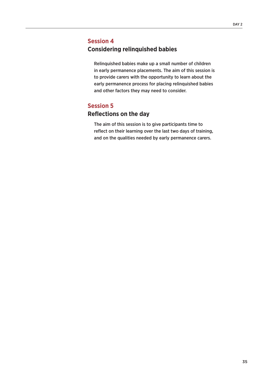## **Session 4**

## **Considering relinquished babies**

Relinquished babies make up a small number of children in early permanence placements. The aim of this session is to provide carers with the opportunity to learn about the early permanence process for placing relinquished babies and other factors they may need to consider.

## **Session 5**

# **Reflections on the day**

The aim of this session is to give participants time to reflect on their learning over the last two days of training, and on the qualities needed by early permanence carers.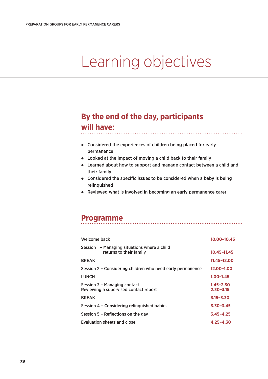# Learning objectives

# **By the end of the day, participants**

# **will have:**

- Considered the experiences of children being placed for early permanence
- Looked at the impact of moving a child back to their family
- Learned about how to support and manage contact between a child and their family

- Considered the specific issues to be considered when a baby is being relinquished
- Reviewed what is involved in becoming an early permanence carer

# **Programme**

| Welcome back                                                             | 10.00-10.45                    |
|--------------------------------------------------------------------------|--------------------------------|
| Session 1 - Managing situations where a child<br>returns to their family | $10.45 - 11.45$                |
| <b>BREAK</b>                                                             | 11.45-12.00                    |
| Session 2 – Considering children who need early permanence               | 12.00-1.00                     |
| <b>LUNCH</b>                                                             | $1.00 - 1.45$                  |
| Session 3 - Managing contact<br>Reviewing a supervised contact report    | $1.45 - 2.30$<br>$2.30 - 3.15$ |
| <b>BREAK</b>                                                             | $3.15 - 3.30$                  |
| Session 4 - Considering relinguished babies                              | $3.30 - 3.45$                  |
| Session 5 - Reflections on the day                                       | $3.45 - 4.25$                  |
| Evaluation sheets and close                                              | $4.25 - 4.30$                  |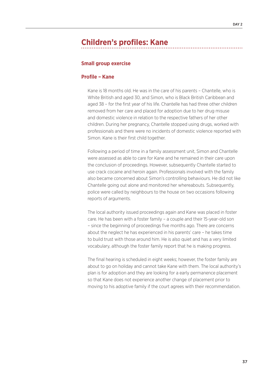# **Children's profiles: Kane**

#### **Small group exercise**

#### **Profile – Kane**

Kane is 18 months old. He was in the care of his parents – Chantelle, who is White British and aged 30, and Simon, who is Black British Caribbean and aged 38 – for the first year of his life. Chantelle has had three other children removed from her care and placed for adoption due to her drug misuse and domestic violence in relation to the respective fathers of her other children. During her pregnancy, Chantelle stopped using drugs, worked with professionals and there were no incidents of domestic violence reported with Simon. Kane is their first child together.

Following a period of time in a family assessment unit, Simon and Chantelle were assessed as able to care for Kane and he remained in their care upon the conclusion of proceedings. However, subsequently Chantelle started to use crack cocaine and heroin again. Professionals involved with the family also became concerned about Simon's controlling behaviours. He did not like Chantelle going out alone and monitored her whereabouts. Subsequently, police were called by neighbours to the house on two occasions following reports of arguments.

The local authority issued proceedings again and Kane was placed in foster care. He has been with a foster family – a couple and their 15-year-old son – since the beginning of proceedings five months ago. There are concerns about the neglect he has experienced in his parents' care – he takes time to build trust with those around him. He is also quiet and has a very limited vocabulary, although the foster family report that he is making progress.

The final hearing is scheduled in eight weeks; however, the foster family are about to go on holiday and cannot take Kane with them. The local authority's plan is for adoption and they are looking for a early permanence placement so that Kane does not experience another change of placement prior to moving to his adoptive family if the court agrees with their recommendation.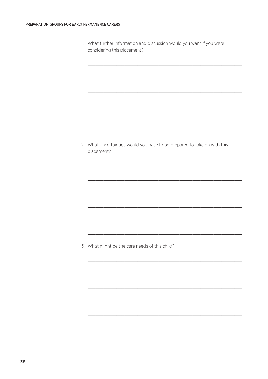| 1. What further information and discussion would you want if you were |
|-----------------------------------------------------------------------|
| considering this placement?                                           |

2. What uncertainties would you have to be prepared to take on with this placement?

3. What might be the care needs of this child?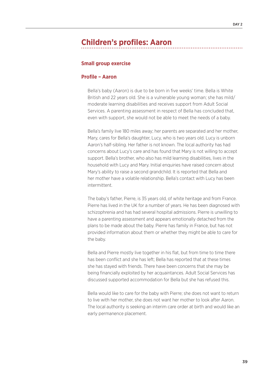# **Children's profiles: Aaron**

#### **Small group exercise**

#### **Profile – Aaron**

Bella's baby (Aaron) is due to be born in five weeks' time. Bella is White British and 22 years old. She is a vulnerable young woman; she has mild/ moderate learning disabilities and receives support from Adult Social Services. A parenting assessment in respect of Bella has concluded that, even with support, she would not be able to meet the needs of a baby.

Bella's family live 180 miles away; her parents are separated and her mother, Mary, cares for Bella's daughter, Lucy, who is two years old. Lucy is unborn Aaron's half-sibling. Her father is not known. The local authority has had concerns about Lucy's care and has found that Mary is not willing to accept support. Bella's brother, who also has mild learning disabilities, lives in the household with Lucy and Mary. Initial enquiries have raised concern about Mary's ability to raise a second grandchild. It is reported that Bella and her mother have a volatile relationship. Bella's contact with Lucy has been intermittent.

The baby's father, Pierre, is 35 years old, of white heritage and from France. Pierre has lived in the UK for a number of years. He has been diagnosed with schizophrenia and has had several hospital admissions. Pierre is unwilling to have a parenting assessment and appears emotionally detached from the plans to be made about the baby. Pierre has family in France, but has not provided information about them or whether they might be able to care for the baby.

Bella and Pierre mostly live together in his flat, but from time to time there has been conflict and she has left; Bella has reported that at these times she has stayed with friends. There have been concerns that she may be being financially exploited by her acquaintances. Adult Social Services has discussed supported accommodation for Bella but she has refused this.

Bella would like to care for the baby with Pierre; she does not want to return to live with her mother, she does not want her mother to look after Aaron. The local authority is seeking an interim care order at birth and would like an early permanence placement.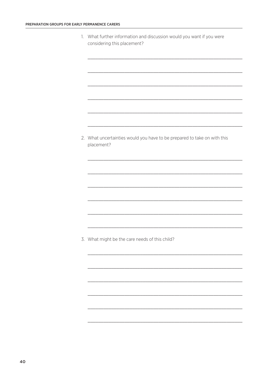1. What further information and discussion would you want if you were considering this placement?

2. What uncertainties would you have to be prepared to take on with this placement?

3. What might be the care needs of this child?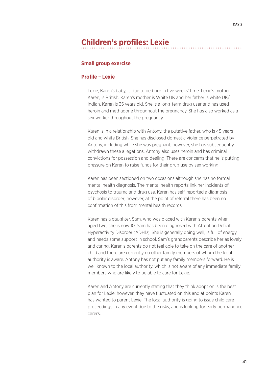# **Children's profiles: Lexie**

#### **Small group exercise**

#### **Profile – Lexie**

Lexie, Karen's baby, is due to be born in five weeks' time. Lexie's mother, Karen, is British. Karen's mother is White UK and her father is white UK/ Indian. Karen is 35 years old. She is a long-term drug user and has used heroin and methadone throughout the pregnancy. She has also worked as a sex worker throughout the pregnancy.

Karen is in a relationship with Antony, the putative father, who is 45 years old and white British. She has disclosed domestic violence perpetrated by Antony, including while she was pregnant; however, she has subsequently withdrawn these allegations. Antony also uses heroin and has criminal convictions for possession and dealing. There are concerns that he is putting pressure on Karen to raise funds for their drug use by sex working.

Karen has been sectioned on two occasions although she has no formal mental health diagnosis. The mental health reports link her incidents of psychosis to trauma and drug use. Karen has self-reported a diagnosis of bipolar disorder; however, at the point of referral there has been no confirmation of this from mental health records.

Karen has a daughter, Sam, who was placed with Karen's parents when aged two; she is now 10. Sam has been diagnosed with Attention Deficit Hyperactivity Disorder (ADHD). She is generally doing well, is full of energy, and needs some support in school. Sam's grandparents describe her as lovely and caring. Karen's parents do not feel able to take on the care of another child and there are currently no other family members of whom the local authority is aware. Antony has not put any family members forward. He is well known to the local authority, which is not aware of any immediate family members who are likely to be able to care for Lexie.

Karen and Antony are currently stating that they think adoption is the best plan for Lexie; however, they have fluctuated on this and at points Karen has wanted to parent Lexie. The local authority is going to issue child care proceedings in any event due to the risks, and is looking for early permanence carers.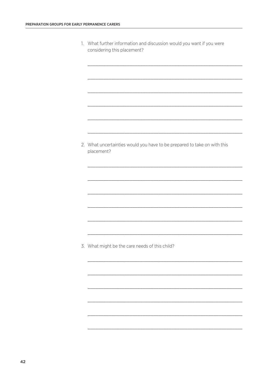| 1. What further information and discussion would you want if you were |
|-----------------------------------------------------------------------|
| considering this placement?                                           |

2. What uncertainties would you have to be prepared to take on with this placement?

3. What might be the care needs of this child?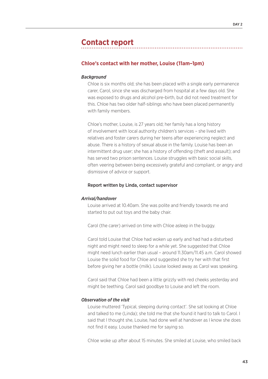# **Contact report**

#### **Chloe's contact with her mother, Louise (11am–1pm)**

#### *Background*

Chloe is six months old; she has been placed with a single early permanence carer, Carol, since she was discharged from hospital at a few days old. She was exposed to drugs and alcohol pre-birth, but did not need treatment for this. Chloe has two older half-siblings who have been placed permanently with family members.

Chloe's mother, Louise, is 27 years old; her family has a long history of involvement with local authority children's services – she lived with relatives and foster carers during her teens after experiencing neglect and abuse. There is a history of sexual abuse in the family. Louise has been an intermittent drug user; she has a history of offending (theft and assault); and has served two prison sentences. Louise struggles with basic social skills, often veering between being excessively grateful and compliant, or angry and dismissive of advice or support.

#### Report written by Linda, contact supervisor

#### *Arrival/handover*

Louise arrived at 10.40am. She was polite and friendly towards me and started to put out toys and the baby chair.

Carol (the carer) arrived on time with Chloe asleep in the buggy.

Carol told Louise that Chloe had woken up early and had had a disturbed night and might need to sleep for a while yet. She suggested that Chloe might need lunch earlier than usual – around 11.30am/11.45 a.m. Carol showed Louise the solid food for Chloe and suggested she try her with that first before giving her a bottle (milk). Louise looked away as Carol was speaking.

Carol said that Chloe had been a little grizzly with red cheeks yesterday and might be teething. Carol said goodbye to Louise and left the room.

#### *Observation of the visit*

Louise muttered 'Typical, sleeping during contact'. She sat looking at Chloe and talked to me (Linda); she told me that she found it hard to talk to Carol. I said that I thought she, Louise, had done well at handover as I know she does not find it easy. Louise thanked me for saying so.

Chloe woke up after about 15 minutes. She smiled at Louise, who smiled back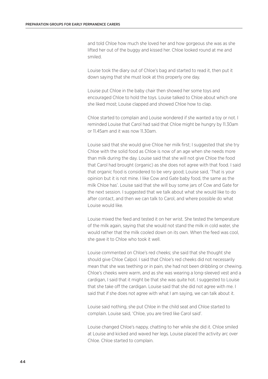and told Chloe how much she loved her and how gorgeous she was as she lifted her out of the buggy and kissed her. Chloe looked round at me and smiled.

Louise took the diary out of Chloe's bag and started to read it, then put it down saying that she must look at this properly one day.

Louise put Chloe in the baby chair then showed her some toys and encouraged Chloe to hold the toys. Louise talked to Chloe about which one she liked most; Louise clapped and showed Chloe how to clap.

Chloe started to complain and Louise wondered if she wanted a toy or not. I reminded Louise that Carol had said that Chloe might be hungry by 11.30am or 11.45am and it was now 11.30am.

Louise said that she would give Chloe her milk first; I suggested that she try Chloe with the solid food as Chloe is now of an age when she needs more than milk during the day. Louise said that she will not give Chloe the food that Carol had brought (organic) as she does not agree with that food. I said that organic food is considered to be very good; Louise said, 'That is your opinion but it is not mine. I like Cow and Gate baby food, the same as the milk Chloe has'. Louise said that she will buy some jars of Cow and Gate for the next session. I suggested that we talk about what she would like to do after contact, and then we can talk to Carol, and where possible do what Louise would like.

Louise mixed the feed and tested it on her wrist. She tested the temperature of the milk again, saying that she would not stand the milk in cold water, she would rather that the milk cooled down on its own. When the feed was cool, she gave it to Chloe who took it well.

Louise commented on Chloe's red cheeks; she said that she thought she should give Chloe Calpol. I said that Chloe's red cheeks did not necessarily mean that she was teething or in pain, she had not been dribbling or chewing. Chloe's cheeks were warm, and as she was wearing a long-sleeved vest and a cardigan, I said that it might be that she was quite hot. I suggested to Louise that she take off the cardigan. Louise said that she did not agree with me. I said that if she does not agree with what I am saying, we can talk about it.

Louise said nothing, she put Chloe in the child seat and Chloe started to complain. Louise said, 'Chloe, you are tired like Carol said'.

Louise changed Chloe's nappy, chatting to her while she did it. Chloe smiled at Louise and kicked and waved her legs. Louise placed the activity arc over Chloe. Chloe started to complain.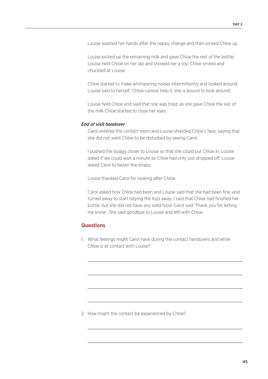Louise washed her hands after the nappy change and then picked Chloe up.

Louise picked up the remaining milk and gave Chloe the rest of the bottle. Louise held Chloe on her lap and showed her a toy; Chloe smiled and chuckled at Louise.

Chloe started to make whimpering noises intermittently and looked around; Louise said to herself, 'Chloe cannot help it, she is bound to look around'.

Louise held Chloe and said that she was tired; as she gave Chloe the last of the milk Chloe started to close her eyes.

#### *End of visit handover*

Carol entered the contact room and Louise shielded Chloe's face, saying that she did not want Chloe to be disturbed by seeing Carol.

I pushed the buggy closer to Louise so that she could put Chloe in. Louise asked if we could wait a minute as Chloe had only just dropped off. Louise asked Carol to fasten the straps.

Louise thanked Carol for looking after Chloe.

Carol asked how Chloe had been and Louise said that she had been fine, and turned away to start tidying the toys away. I said that Chloe had finished her bottle, but she did not have any solid food. Carol said 'Thank you for letting me know'. She said goodbye to Louise and left with Chloe.

## **Questions**

1. What feelings might Carol have during the contact handovers and while Chloe is at contact with Louise?

\_\_\_\_\_\_\_\_\_\_\_\_\_\_\_\_\_\_\_\_\_\_\_\_\_\_\_\_\_\_\_\_\_\_\_\_\_\_\_\_\_\_\_\_\_\_\_\_\_\_\_\_\_\_\_\_\_\_\_

\_\_\_\_\_\_\_\_\_\_\_\_\_\_\_\_\_\_\_\_\_\_\_\_\_\_\_\_\_\_\_\_\_\_\_\_\_\_\_\_\_\_\_\_\_\_\_\_\_\_\_\_\_\_\_\_\_\_\_

 $\_$  , and the set of the set of the set of the set of the set of the set of the set of the set of the set of the set of the set of the set of the set of the set of the set of the set of the set of the set of the set of th

 $\_$  , and the set of the set of the set of the set of the set of the set of the set of the set of the set of the set of the set of the set of the set of the set of the set of the set of the set of the set of the set of th

 $\_$  , and the set of the set of the set of the set of the set of the set of the set of the set of the set of the set of the set of the set of the set of the set of the set of the set of the set of the set of the set of th

\_\_\_\_\_\_\_\_\_\_\_\_\_\_\_\_\_\_\_\_\_\_\_\_\_\_\_\_\_\_\_\_\_\_\_\_\_\_\_\_\_\_\_\_\_\_\_\_\_\_\_\_\_\_\_\_\_\_\_

2. How might the contact be experienced by Chloe?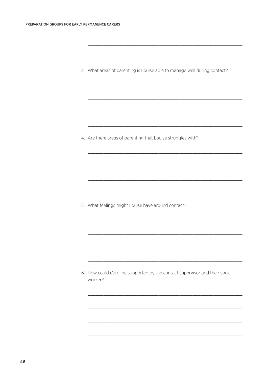3. What areas of parenting is Louise able to manage well during contact?

4. Are there areas of parenting that Louise struggles with?

5. What feelings might Louise have around contact?

6. How could Carol be supported by the contact supervisor and their social worker?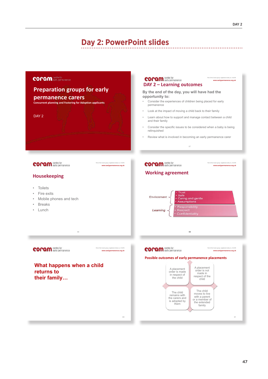# **Day 2: PowerPoint slides**

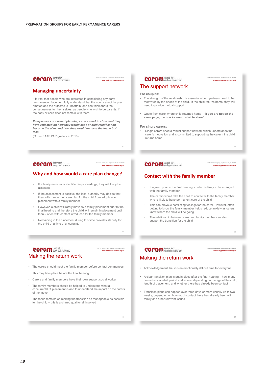#### **COPAM** centre for

Part of the Coram group, registered charity no. 312278 **www.earlypermanence.org.uk**

#### **Managing uncertainty**

It is vital that people who are interested in considering any early permanence placement fully understand that the court cannot be preempted and the outcome is uncertain, and can think about the consequences for themselves, as people who wish to be parents, if the baby or child does not remain with them.

*Prospective concurrent planning carers need to show that they have reflected on how they would cope should reunification become the plan, and how they would manage the impact of loss.* 

(CoramBAAF PAR guidance, 2016)

62

Part of the Coram group, registered charity no. 312278 **www.earlypermanence.org.uk**

## **COPAM** centre for

#### **Why and how would a care plan change?**

- If a family member is identified in proceedings, they will likely be assessed
- If the assessment is positive, the local authority may decide that they will change their care plan for the child from adoption to placement with a family member
- However, a child will rarely move to a family placement prior to the final hearing and therefore the child will remain in placement until then – often with contact introduced for the family member
- Remaining in the placement during this time provides stability for the child at a time of uncertainty

#### **COPAM** centre for Making the return work

Part of the Coram group, registered charity no. 312278 **www.earlypermanence.org.uk**

64

#### • The carers should meet the family member before contact commences

- This may take place before the final hearing
- Carers and family members have their own support social worker
- The family members should be helped to understand what a concurrent/FfA placement is and to understand the impact on the carers of the move
- The focus remains on making the transition as manageable as possible for the child – this is a shared goal for all involved

#### **COPAM** centre for

Part of the Coram group, registered charity no. 312278 **www.earlypermanence.org.uk**

#### The support network

#### **For couples:**

- The strength of the relationship is essential both partners need to be motivated by the needs of the child. If the child returns home, they will need to provide mutual support
- Quote from carer where child returned home **'If you are not on the same page, the cracks would start to show'**

#### **For single carers:**

• Single carers need a robust support network which understands the carer's motivation and is committed to supporting the carer if the child returns home

63

### **COPAM** centre for

Part of the Coram group, registered charity no. 312278 **www.earlypermanence.org.uk**

#### **Contact with the family member**

- If agreed prior to the final hearing, contact is likely to be arranged with the family member.
- The carers would take the child to contact with the family member who is likely to have permanent care of the child
- This can provoke conflicting feelings for the carer. However, often getting to know the family member helps reduce anxiety as carers know where the child will be going
- The relationship between carer and family member can also support the transition for the child

# **COPAM** centre for

#### Part of the Coram group, registered charity no. 312278 **www.earlypermanence.org.uk**

# Making the return work

- Acknowledgement that it is an emotionally difficult time for everyone
- A clear transition plan is put in place after the final hearing how many contacts over what period and where, depending on the age of the child, length of placement, and whether there has already been contact
- Transition plans can happen over three days or more usually up to two weeks, depending on how much contact there has already been with family and other relevant issues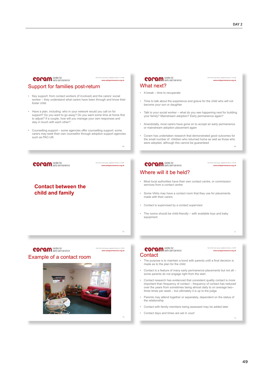| <b>COPAM</b> centre for<br>Part of the Coram group, registered charity no. 312278<br>www.earlypermanence.org.uk                                                                                                                                                                                                          | <b>COPAM</b> centre for<br>Part of the Coram group, registered charity no. 312278<br>www.earlypermanence.org.uk                                                                                                                                                                                                     |  |  |
|--------------------------------------------------------------------------------------------------------------------------------------------------------------------------------------------------------------------------------------------------------------------------------------------------------------------------|---------------------------------------------------------------------------------------------------------------------------------------------------------------------------------------------------------------------------------------------------------------------------------------------------------------------|--|--|
| Support for families post-return                                                                                                                                                                                                                                                                                         | What next?                                                                                                                                                                                                                                                                                                          |  |  |
| Key support: from contact workers (if involved) and the carers' social                                                                                                                                                                                                                                                   | • A break – time to recuperate                                                                                                                                                                                                                                                                                      |  |  |
| worker – they understand what carers have been through and know their<br>foster child                                                                                                                                                                                                                                    | Time to talk about the experience and grieve for the child who will not<br>become your son or daughter                                                                                                                                                                                                              |  |  |
| Have a plan, including: who in your network would you call on for<br>support? Do you want to go away? Do you want some time at home first<br>to adjust? If a couple, how will you manage your own responses and<br>stay in touch with each other?<br>Counselling support – some agencies offer counselling support; some | Talk to your social worker - what do you see happening next for building<br>your family? Mainstream adoption? Early permanence again?                                                                                                                                                                               |  |  |
|                                                                                                                                                                                                                                                                                                                          | Anecdotally, most carers have gone on to accept an early permanence<br>or mainstream adoption placement again<br>Coram has undertaken research that demonstrated good outcomes for<br>the small number of children who returned home as well as those who<br>were adopted, although this cannot be guaranteed<br>69 |  |  |
| carers may seek their own counsellor through adoption support agencies<br>such as PAC-UK<br>68                                                                                                                                                                                                                           |                                                                                                                                                                                                                                                                                                                     |  |  |
|                                                                                                                                                                                                                                                                                                                          |                                                                                                                                                                                                                                                                                                                     |  |  |
| <b>COPAM</b> centre for<br>Part of the Coram group, registered charity no. 312278                                                                                                                                                                                                                                        | <b>COPAM</b> centre for<br>Part of the Coram group, registered charity no. 312278                                                                                                                                                                                                                                   |  |  |
| www.earlypermanence.org.uk                                                                                                                                                                                                                                                                                               | www.earlypermanence.org.uk                                                                                                                                                                                                                                                                                          |  |  |
|                                                                                                                                                                                                                                                                                                                          | Where will it be held?                                                                                                                                                                                                                                                                                              |  |  |
| <b>Contact between the</b>                                                                                                                                                                                                                                                                                               | Most local authorities have their own contact centre, or commission<br>services from a contact centre                                                                                                                                                                                                               |  |  |
| child and family                                                                                                                                                                                                                                                                                                         | Some VAAs may have a contact room that they use for placements<br>made with their carers                                                                                                                                                                                                                            |  |  |
|                                                                                                                                                                                                                                                                                                                          | Contact is supervised by a contact supervisor<br>۰                                                                                                                                                                                                                                                                  |  |  |
|                                                                                                                                                                                                                                                                                                                          | The rooms should be child-friendly – with available toys and baby<br>equipment                                                                                                                                                                                                                                      |  |  |
| 70                                                                                                                                                                                                                                                                                                                       |                                                                                                                                                                                                                                                                                                                     |  |  |
|                                                                                                                                                                                                                                                                                                                          |                                                                                                                                                                                                                                                                                                                     |  |  |
| Part of the Coram group, registered charity no. 312278                                                                                                                                                                                                                                                                   | Part of the Coram group, registered charity no. 312278                                                                                                                                                                                                                                                              |  |  |
| <b>COPAM</b> centre for<br>www.earlypermanence.org.uk                                                                                                                                                                                                                                                                    | <b>COPAM</b> centre for<br>www.earlypermanence.org.uk<br>Contact                                                                                                                                                                                                                                                    |  |  |
| Example of a contact room                                                                                                                                                                                                                                                                                                | • The purpose is to maintain a bond with parents until a final decision is<br>made as to the plan for the child                                                                                                                                                                                                     |  |  |
|                                                                                                                                                                                                                                                                                                                          | Contact is a feature of many early permanence placements but not all -<br>۰<br>some parents do not engage right from the start                                                                                                                                                                                      |  |  |
|                                                                                                                                                                                                                                                                                                                          | Contact research has evidenced that consistent quality contact is more<br>important than frequency of contact – frequency of contact has reduced                                                                                                                                                                    |  |  |

- Contact research has evidenced that consistent quality contact is more important than frequency of contact frequency of contact has reduced over the years from sometimes being almost daily to on average two–<br>three time
- Parents may attend together or separately, dependent on the status of the relationship
- Contact with family members being assessed may be added later
- Contact days and times are set in court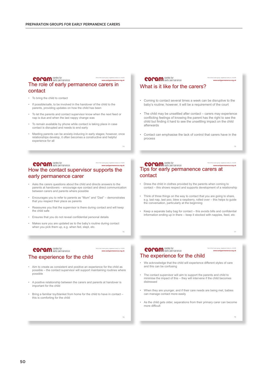#### **COPAM** centre for

#### The role of early permanence carers in contact

- To bring the child to contact
- If possible/safe, to be involved in the handover of the child to the parents, providing updates on how the child has been
- To let the parents and contact supervisor know when the next feed or nap is due and when the last nappy change was
- To remain available by phone while contact is taking place in case contact is disrupted and needs to end early
- Meeting parents can be anxiety-inducing in early stages; however, once relationships develop, it often becomes a constructive and helpful experience for all

74

Part of the Coram group, registered charity no. 312278 **www.earlypermanence.org.uk**

#### **COPAM** centre for Part of the Coram group, registered charity no. 312278 **www.earlypermanence.org.uk** How the contact supervisor supports the early permanence carer

- Asks the carers questions about the child and directs answers to the parents at handovers – encourage eye contact and direct communication between carers and parents where possible
- Encourages you to refer to parents as "Mum" and "Dad" demonstrates that you respect their place as parents
- Reassures you that the supervisor is there during contact and will keep the child safe
- Ensures that you do not reveal confidential personal details
- Makes sure you are updated as to the baby's routine during contact when you pick them up, e.g. when fed, slept, etc.

## **COPAM** centre for

Part of the Coram group, registered charity no. 312278 **www.earlypermanence.org.uk**

#### The experience for the child

- Aim to create as consistent and positive an experience for the child as possible – the contact supervisor will support maintaining routines where possible
- A positive relationship between the carers and parents at handover is important for the child
- Bring a familiar toy/blanket from home for the child to have in contact this is comforting for the child

#### **COPAM** centre for

What is it like for the carers?

- Coming to contact several times a week can be disruptive to the baby's routine; however, it will be a requirement of the court
- The child may be unsettled after contact carers may experience conflicting feelings of knowing the parent has the right to see the child but finding it hard to see the unsettling impact on the child afterwards
- Contact can emphasise the lack of control that carers have in the process

75

77

Part of the Coram group, registered charity no. 312278 **www.earlypermanence.org.uk**

Part of the Coram group, registered charity no. 312278 **www.earlypermanence.org.uk**

#### Part of the Coram group, registered charity no. 312278 **www.earlypermanence.org.uk COPAM** centre for<br>Tips for early permanence carers at contact

- Dress the child in clothes provided by the parents when coming to contact – this shows respect and supports development of a relationship
- Think of three things on the way to contact that you are going to share, e.g. last nap, last poo, blew a raspberry, rolled over – this helps to guide the conversation, particularly at the beginning
- Keep a separate baby bag for contact this avoids bills and confidential information ending up in there – keep it stocked with nappies, feed, etc

**COPAM** centre for The experience for the child

- We acknowledge that the child will experience different styles of care and this can be confusing
- The contact supervisor will aim to support the parents and child to minimise the impact of this – they will intervene if the child becomes distressed
- When they are younger, and if their care needs are being met, babies can manage contact more easily
- As the child gets older, separations from their primary carer can become more difficult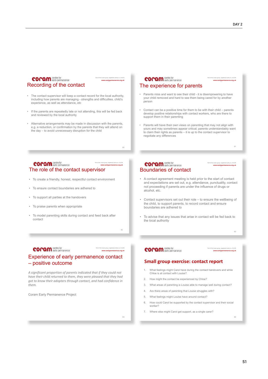Part of the Coram group, registered charity no. 312278 **www.earlypermanence.org.uk**

81

Part of the Coram group, registered charity no. 312278 **www.earlypermanence.org.uk**

#### **COPAM** centre for Recording of the contact

The contact supervisor will keep a contact record for the local authority, including how parents are managing - strengths and difficulties, child's experience, as well as attendance, etc

Part of the Coram group, registered charity no. 312278 **www.earlypermanence.org.uk**

80

82

Part of the Coram group, registered charity no. 312278 **www.earlypermanence.org.uk**

- If the parents are repeatedly late or not attending, this will be fed back and reviewed by the local authority
- Alternative arrangements may be made in discussion with the parents, e.g. a reduction, or confirmation by the parents that they will attend on the day – to avoid unnecessary disruption for the child

#### **COPAM** centre for Part of the Coram group, registered charity no. 312278 **www.earlypermanence.org.uk** The role of the contact supervisor

- To create a friendly, honest, respectful contact environment
- To ensure contact boundaries are adhered to
- To support all parties at the handovers
- To praise parents when appropriate
- To model parenting skills during contact and feed back after contact

#### **COPAM** centre for

## Experience of early permanence contact – positive outcome

*A significant proportion of parents indicated that if they could not have their child returned to them, they were pleased that they had got to know their adopters through contact, and had confidence in them.* 

Coram Early Permanence Project

#### **COPAM** centre for

#### The experience for parents

- Parents miss and want to see their child it is disempowering to have your child removed and hard to see them being cared for by another person
- Contact can be a positive time for them to be with their child parents develop positive relationships with contact workers, who are there to support them in their parenting
- Parents will have their own views on parenting that may not align with yours and may sometimes appear critical; parents understandably want to claim their rights as parents – it is up to the contact supervisor to negotiate any differences

#### **COPAM** centre for Boundaries of contact

- A contact agreement meeting is held prior to the start of contact and expectations are set out, e.g. attendance, punctuality, contact not proceeding if parents are under the influence of drugs or alcohol, etc.
- Contact supervisors set out their role to ensure the wellbeing of the child, to support parents, to record contact and ensure boundaries are adhered to
- To advise that any issues that arise in contact will be fed back to the local authority

**COPAM** centre for

#### Part of the Coram group, registered charity no. 312278 **www.earlypermanence.org.uk**

83

85

#### **Small group exercise: contact report**

- 1. What feelings might Carol have during the contact handovers and while Chloe is at contact with Louise?
- 2. How might the contact be experienced by Chloe?
- 3. What areas of parenting is Louise able to manage well during contact?
- 4. Are there areas of parenting that Louise struggles with?
- 5. What feelings might Louise have around contact?
- 6. How could Carol be supported by the contact supervisor and their social worker?
- 7. Where else might Carol get support, as a single carer?

84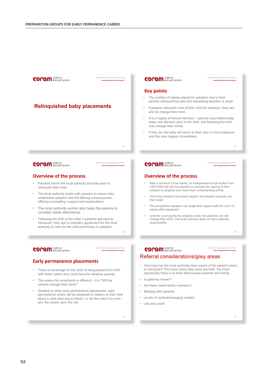

90

91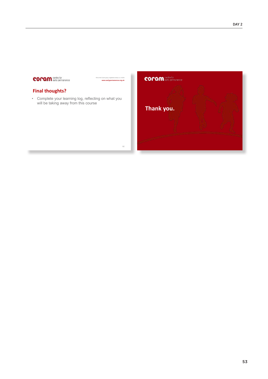# **coram** centre for

### **Final thoughts?**

• Complete your learning log, reflecting on what you will be taking away from this course

Part of the Coram group, registered charity no. 312278 **www.earlypermanence.org.uk**

92

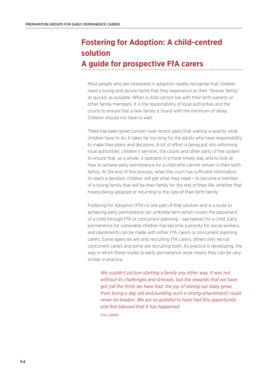# **Fostering for Adoption: A child-centred solution A guide for prospective FfA carers**

## Most people who are interested in adoption readily recognise that children need a loving and secure home that they experience as their "forever family" as quickly as possible. When a child cannot live with their birth parents or other family members, it is the responsibility of local authorities and the courts to ensure that a new family is found with the minimum of delay. Children should not have to wait.

There has been great concern over recent years that waiting is exactly what children have to do. It takes far too long for the adults who have responsibility to make their plans and decisions. A lot of effort is being put into reforming local authorities' children's services, the courts and other parts of the system to ensure that, as a whole, it operates in a more timely way and to look at how to achieve early permanence for a child who cannot remain in their birth family. At the end of this process, when the court has sufficient information to reach a decision, children will get what they need – to become a member of a loving family that will be their family for the rest of their life, whether that means being adopted or returning to the care of their birth family.

Fostering for Adoption (FfA) is one part of that solution and is a route to achieving early permanence (an umbrella term which covers the placement of a child through FfA or concurrent planning – see below) for a child. Early permanence for vulnerable children has become a priority for social workers, and placements can be made with either FfA carers or concurrent planning carers. Some agencies are only recruiting FfA carers, others only recruit concurrent carers and some are recruiting both. As practice is developing, the way in which these routes to early permanence work means they can be very similar in practice.

*We couldn't picture starting a family any other way. It was not without its challenges and stresses, but the rewards that we have got (all the firsts we have had, the joy of seeing our baby grow from being a day old and building such a strong attachment) could never be beaten. We are so grateful to have had this opportunity and feel blessed that it has happened.* 

FFA CARER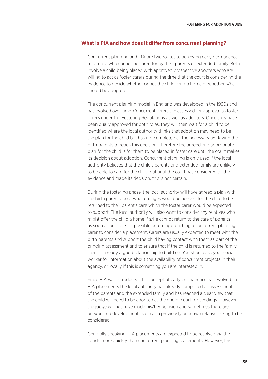#### **What is FfA and how does it differ from concurrent planning?**

Concurrent planning and FfA are two routes to achieving early permanence for a child who cannot be cared for by their parents or extended family. Both involve a child being placed with approved prospective adopters who are willing to act as foster carers during the time that the court is considering the evidence to decide whether or not the child can go home or whether s/he should be adopted.

The concurrent planning model in England was developed in the 1990s and has evolved over time. Concurrent carers are assessed for approval as foster carers under the Fostering Regulations as well as adopters. Once they have been dually approved for both roles, they will then wait for a child to be identified where the local authority thinks that adoption may need to be the plan for the child but has not completed all the necessary work with the birth parents to reach this decision. Therefore the agreed and appropriate plan for the child is for them to be placed in foster care until the court makes its decision about adoption. Concurrent planning is only used if the local authority believes that the child's parents and extended family are unlikely to be able to care for the child; but until the court has considered all the evidence and made its decision, this is not certain.

During the fostering phase, the local authority will have agreed a plan with the birth parent about what changes would be needed for the child to be returned to their parent's care which the foster carer would be expected to support. The local authority will also want to consider any relatives who might offer the child a home if s/he cannot return to the care of parents as soon as possible – if possible before approaching a concurrent planning carer to consider a placement. Carers are usually expected to meet with the birth parents and support the child having contact with them as part of the ongoing assessment and to ensure that if the child is returned to the family, there is already a good relationship to build on. You should ask your social worker for information about the availability of concurrent projects in their agency, or locally if this is something you are interested in.

Since FfA was introduced, the concept of early permanence has evolved. In FfA placements the local authority has already completed all assessments of the parents and the extended family and has reached a clear view that the child will need to be adopted at the end of court proceedings. However, the judge will not have made his/her decision and sometimes there are unexpected developments such as a previously unknown relative asking to be considered.

Generally speaking, FfA placements are expected to be resolved via the courts more quickly than concurrent planning placements. However, this is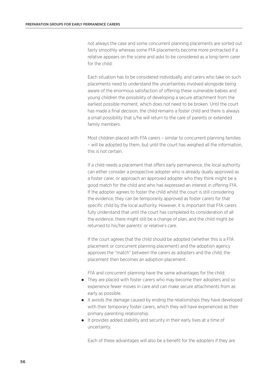not always the case and some concurrent planning placements are sorted out fairly smoothly whereas some FfA placements become more protracted if a relative appears on the scene and asks to be considered as a long-term carer for the child.

Each situation has to be considered individually, and carers who take on such placements need to understand the uncertainties involved alongside being aware of the enormous satisfaction of offering these vulnerable babies and young children the possibility of developing a secure attachment from the earliest possible moment, which does not need to be broken. Until the court has made a final decision, the child remains a foster child and there is always a small possibility that s/he will return to the care of parents or extended family members.

Most children placed with FfA carers – similar to concurrent planning families – will be adopted by them, but until the court has weighed all the information, this is not certain.

If a child needs a placement that offers early permanence, the local authority can either consider a prospective adopter who is already dually approved as a foster carer, or approach an approved adopter who they think might be a good match for the child and who has expressed an interest in offering FfA. If the adopter agrees to foster the child whilst the court is still considering the evidence, they can be temporarily approved as foster carers for that specific child by the local authority. However, it is important that FfA carers fully understand that until the court has completed its consideration of all the evidence, there might still be a change of plan, and the child might be returned to his/her parents' or relative's care.

If the court agrees that the child should be adopted (whether this is a FfA placement or concurrent planning placement) and the adoption agency approves the "match" between the carers as adopters and the child, the placement then becomes an adoption placement.

FfA and concurrent planning have the same advantages for the child:

- They are placed with foster carers who may become their adopters and so experience fewer moves in care and can make secure attachments from as early as possible.
- It avoids the damage caused by ending the relationships they have developed with their temporary foster carers, which they will have experienced as their primary parenting relationship.
- It provides added stability and security in their early lives at a time of uncertainty.

Each of these advantages will also be a benefit for the adopters if they are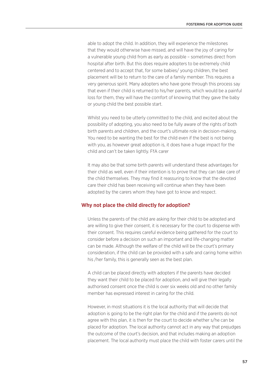able to adopt the child. In addition, they will experience the milestones that they would otherwise have missed, and will have the joy of caring for a vulnerable young child from as early as possible – sometimes direct from hospital after birth. But this does require adopters to be extremely child centered and to accept that, for some babies/ young children, the best placement will be to return to the care of a family member. This requires a very generous spirit. Many adopters who have gone through this process say that even if their child is returned to his/her parents, which would be a painful loss for them, they will have the comfort of knowing that they gave the baby or young child the best possible start.

Whilst you need to be utterly committed to the child, and excited about the possibility of adopting, you also need to be fully aware of the rights of both birth parents and children, and the court's ultimate role in decision-making. You need to be wanting the best for the child even if the best is not being with you, as however great adoption is, it does have a huge impact for the child and can't be taken lightly. FfA carer

It may also be that some birth parents will understand these advantages for their child as well, even if their intention is to prove that they can take care of the child themselves. They may find it reassuring to know that the devoted care their child has been receiving will continue when they have been adopted by the carers whom they have got to know and respect.

#### **Why not place the child directly for adoption?**

Unless the parents of the child are asking for their child to be adopted and are willing to give their consent, it is necessary for the court to dispense with their consent. This requires careful evidence being gathered for the court to consider before a decision on such an important and life-changing matter can be made. Although the welfare of the child will be the court's primary consideration, if the child can be provided with a safe and caring home within his /her family, this is generally seen as the best plan.

A child can be placed directly with adopters if the parents have decided they want their child to be placed for adoption, and will give their legally authorised consent once the child is over six weeks old and no other family member has expressed interest in caring for the child.

However, in most situations it is the local authority that will decide that adoption is going to be the right plan for the child and if the parents do not agree with this plan, it is then for the court to decide whether s/he can be placed for adoption. The local authority cannot act in any way that prejudges the outcome of the court's decision, and that includes making an adoption placement. The local authority must place the child with foster carers until the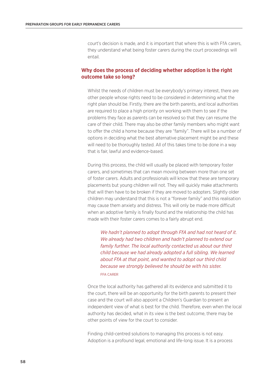court's decision is made, and it is important that where this is with FfA carers, they understand what being foster carers during the court proceedings will entail.

## **Why does the process of deciding whether adoption is the right outcome take so long?**

Whilst the needs of children must be everybody's primary interest, there are other people whose rights need to be considered in determining what the right plan should be. Firstly, there are the birth parents, and local authorities are required to place a high priority on working with them to see if the problems they face as parents can be resolved so that they can resume the care of their child. There may also be other family members who might want to offer the child a home because they are "family". There will be a number of options in deciding what the best alternative placement might be and these will need to be thoroughly tested. All of this takes time to be done in a way that is fair, lawful and evidence-based.

During this process, the child will usually be placed with temporary foster carers, and sometimes that can mean moving between more than one set of foster carers. Adults and professionals will know that these are temporary placements but young children will not. They will quickly make attachments that will then have to be broken if they are moved to adopters. Slightly older children may understand that this is not a "forever family" and this realisation may cause them anxiety and distress. This will only be made more difficult when an adoptive family is finally found and the relationship the child has made with their foster carers comes to a fairly abrupt end.

*We hadn't planned to adopt through FfA and had not heard of it. We already had two children and hadn't planned to extend our family further. The local authority contacted us about our third child because we had already adopted a full sibling. We learned about FfA at that point, and wanted to adopt our third child because we strongly believed he should be with his sister.*  FFA CARER

Once the local authority has gathered all its evidence and submitted it to the court, there will be an opportunity for the birth parents to present their case and the court will also appoint a Children's Guardian to present an independent view of what is best for the child. Therefore, even when the local authority has decided, what in its view is the best outcome, there may be other points of view for the court to consider.

Finding child-centred solutions to managing this process is not easy. Adoption is a profound legal, emotional and life-long issue. It is a process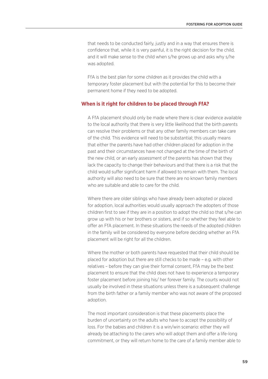that needs to be conducted fairly, justly and in a way that ensures there is confidence that, while it is very painful, it is the right decision for the child, and it will make sense to the child when s/he grows up and asks why s/he was adopted.

FfA is the best plan for some children as it provides the child with a temporary foster placement but with the potential for this to become their permanent home if they need to be adopted.

#### **When is it right for children to be placed through FfA?**

A FfA placement should only be made where there is clear evidence available to the local authority that there is very little likelihood that the birth parents can resolve their problems or that any other family members can take care of the child. This evidence will need to be substantial; this usually means that either the parents have had other children placed for adoption in the past and their circumstances have not changed at the time of the birth of the new child, or an early assessment of the parents has shown that they lack the capacity to change their behaviours and that there is a risk that the child would suffer significant harm if allowed to remain with them. The local authority will also need to be sure that there are no known family members who are suitable and able to care for the child.

Where there are older siblings who have already been adopted or placed for adoption, local authorities would usually approach the adopters of those children first to see if they are in a position to adopt the child so that s/he can grow up with his or her brothers or sisters, and if so whether they feel able to offer an FfA placement. In these situations the needs of the adopted children in the family will be considered by everyone before deciding whether an FfA placement will be right for all the children.

Where the mother or both parents have requested that their child should be placed for adoption but there are still checks to be made – e.g. with other relatives – before they can give their formal consent, FfA may be the best placement to ensure that the child does not have to experience a temporary foster placement before joining his/ her forever family. The courts would not usually be involved in these situations unless there is a subsequent challenge from the birth father or a family member who was not aware of the proposed adoption.

The most important consideration is that these placements place the burden of uncertainty on the adults who have to accept the possibility of loss. For the babies and children it is a win/win scenario: either they will already be attaching to the carers who will adopt them and offer a life-long commitment, or they will return home to the care of a family member able to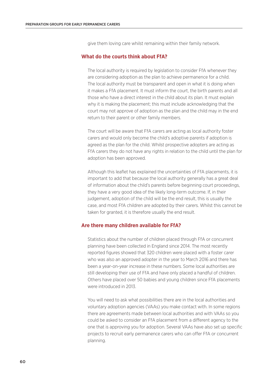give them loving care whilst remaining within their family network.

#### **What do the courts think about FfA?**

The local authority is required by legislation to consider FfA whenever they are considering adoption as the plan to achieve permanence for a child. The local authority must be transparent and open in what it is doing when it makes a FfA placement. It must inform the court, the birth parents and all those who have a direct interest in the child about its plan. It must explain why it is making the placement; this must include acknowledging that the court may not approve of adoption as the plan and the child may in the end return to their parent or other family members.

The court will be aware that FfA carers are acting as local authority foster carers and would only become the child's adoptive parents if adoption is agreed as the plan for the child. Whilst prospective adopters are acting as FfA carers they do not have any rights in relation to the child until the plan for adoption has been approved.

Although this leaflet has explained the uncertainties of FfA placements, it is important to add that because the local authority generally has a great deal of information about the child's parents before beginning court proceedings, they have a very good idea of the likely long-term outcome. If, in their judgement, adoption of the child will be the end result, this is usually the case, and most FfA children are adopted by their carers. Whilst this cannot be taken for granted, it is therefore usually the end result.

#### **Are there many children available for FfA?**

Statistics about the number of children placed through FfA or concurrent planning have been collected in England since 2014. The most recently reported figures showed that 320 children were placed with a foster carer who was also an approved adopter in the year to March 2016 and there has been a year-on-year increase in these numbers. Some local authorities are still developing their use of FfA and have only placed a handful of children. Others have placed over 50 babies and young children since FfA placements were introduced in 2013.

You will need to ask what possibilities there are in the local authorities and voluntary adoption agencies (VAAs) you make contact with. In some regions there are agreements made between local authorities and with VAAs so you could be asked to consider an FfA placement from a different agency to the one that is approving you for adoption. Several VAAs have also set up specific projects to recruit early permanence carers who can offer FfA or concurrent planning.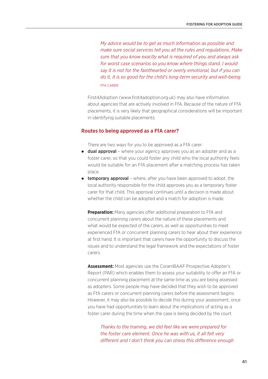*My advice would be to get as much information as possible and make sure social services tell you all the rules and regulations. Make sure that you know exactly what is required of you and always ask for worst case scenarios so you know where things stand. I would say it is not for the fainthearted or overly emotional, but if you can do it, it is so good for the child's long-term security and well-being.*  FFA CARER

First4Adoption (www.first4adoption.org.uk) may also have information about agencies that are actively involved in FfA. Because of the nature of FfA placements, it is very likely that geographical considerations will be important in identifying suitable placements.

#### **Routes to being approved as a FfA carer?**

There are two ways for you to be approved as a FfA carer:

- $\bullet$  dual approval where your agency approves you as an adopter and as a foster carer, so that you could foster any child who the local authority feels would be suitable for an FfA placement after a matching process has taken place.
- **temporary approval** where, after you have been approved to adopt, the local authority responsible for the child approves you as a temporary foster carer for that child. This approval continues until a decision is made about whether the child can be adopted and a match for adoption is made.

**Preparation:** Many agencies offer additional preparation to FfA and concurrent planning carers about the nature of these placements and what would be expected of the carers, as well as opportunities to meet experienced FfA or concurrent planning carers to hear about their experience at first hand. It is important that carers have the opportunity to discuss the issues and to understand the legal framework and the expectations of foster carers.

**Assessment:** Most agencies use the CoramBAAF Prospective Adopter's Report (PAR) which enables them to assess your suitability to offer an FfA or concurrent planning placement at the same time as you are being assessed as adopters. Some people may have decided that they wish to be approved as FfA carers or concurrent planning carers before the assessment begins. However, it may also be possible to decide this during your assessment, once you have had opportunities to learn about the implications of acting as a foster carer during the time when the case is being decided by the court.

*Thanks to the training, we did feel like we were prepared for the foster care element. Once he was with us, it all felt very different and I don't think you can stress this difference enough*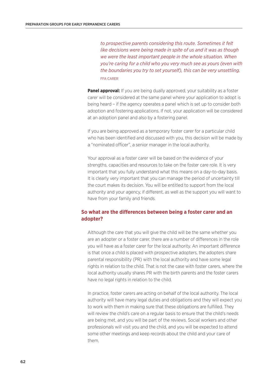*to prospective parents considering this route. Sometimes it felt like decisions were being made in spite of us and it was as though we were the least important people in the whole situation. When you're caring for a child who you very much see as yours (even with the boundaries you try to set yourself), this can be very unsettling.*  FFA CARER

**Panel approval:** If you are being dually approved, your suitability as a foster carer will be considered at the same panel where your application to adopt is being heard – if the agency operates a panel which is set up to consider both adoption and fostering applications. If not, your application will be considered at an adoption panel and also by a fostering panel.

If you are being approved as a temporary foster carer for a particular child who has been identified and discussed with you, this decision will be made by a "nominated officer", a senior manager in the local authority.

Your approval as a foster carer will be based on the evidence of your strengths, capacities and resources to take on the foster care role. It is very important that you fully understand what this means on a day-to-day basis. It is clearly very important that you can manage the period of uncertainty till the court makes its decision. You will be entitled to support from the local authority and your agency, if different, as well as the support you will want to have from your family and friends.

### **So what are the differences between being a foster carer and an adopter?**

Although the care that you will give the child will be the same whether you are an adopter or a foster carer, there are a number of differences in the role you will have as a foster carer for the local authority. An important difference is that once a child is placed with prospective adopters, the adopters share parental responsibility (PR) with the local authority and have some legal rights in relation to the child. That is not the case with foster carers, where the local authority usually shares PR with the birth parents and the foster carers have no legal rights in relation to the child.

In practice, foster carers are acting on behalf of the local authority. The local authority will have many legal duties and obligations and they will expect you to work with them in making sure that these obligations are fulfilled. They will review the child's care on a regular basis to ensure that the child's needs are being met, and you will be part of the reviews. Social workers and other professionals will visit you and the child, and you will be expected to attend some other meetings and keep records about the child and your care of them.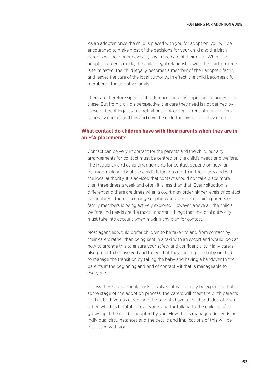As an adopter, once the child is placed with you for adoption, you will be encouraged to make most of the decisions for your child and the birth parents will no longer have any say in the care of their child. When the adoption order is made, the child's legal relationship with their birth parents is terminated, the child legally becomes a member of their adopted family and leaves the care of the local authority. In effect, the child becomes a full member of the adoptive family.

There are therefore significant differences and it is important to understand these. But from a child's perspective, the care they need is not defined by these different legal status definitions. FfA or concurrent planning carers generally understand this and give the child the loving care they need.

### **What contact do children have with their parents when they are in an FfA placement?**

Contact can be very important for the parents and the child, but any arrangements for contact must be centred on the child's needs and welfare. The frequency and other arrangements for contact depend on how far decision-making about the child's future has got to in the courts and with the local authority. It is advised that contact should not take place more than three times a week and often it is less than that. Every situation is different and there are times when a court may order higher levels of contact, particularly if there is a change of plan where a return to birth parents or family members is being actively explored. However, above all, the child's welfare and needs are the most important things that the local authority must take into account when making any plan for contact.

Most agencies would prefer children to be taken to and from contact by their carers rather than being sent in a taxi with an escort and would look at how to arrange this to ensure your safety and confidentiality. Many carers also prefer to be involved and to feel that they can help the baby or child to manage the transition by taking the baby and having a handover to the parents at the beginning and end of contact – if that is manageable for everyone.

Unless there are particular risks involved, it will usually be expected that, at some stage of the adoption process, the carers will meet the birth parents so that both you as carers and the parents have a first-hand idea of each other, which is helpful for everyone, and for talking to the child as s/he grows up if the child is adopted by you. How this is managed depends on individual circumstances and the details and implications of this will be discussed with you.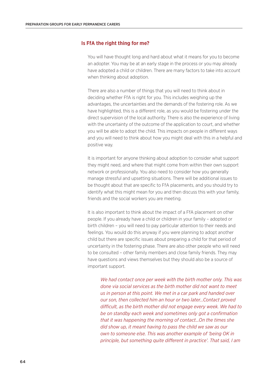#### **Is FfA the right thing for me?**

You will have thought long and hard about what it means for you to become an adopter. You may be at an early stage in the process or you may already have adopted a child or children. There are many factors to take into account when thinking about adoption.

There are also a number of things that you will need to think about in deciding whether FfA is right for you. This includes weighing up the advantages, the uncertainties and the demands of the fostering role. As we have highlighted, this is a different role, as you would be fostering under the direct supervision of the local authority. There is also the experience of living with the uncertainty of the outcome of the application to court, and whether you will be able to adopt the child. This impacts on people in different ways and you will need to think about how you might deal with this in a helpful and positive way.

It is important for anyone thinking about adoption to consider what support they might need, and where that might come from within their own support network or professionally. You also need to consider how you generally manage stressful and upsetting situations. There will be additional issues to be thought about that are specific to FfA placements, and you should try to identify what this might mean for you and then discuss this with your family, friends and the social workers you are meeting.

It is also important to think about the impact of a FfA placement on other people. If you already have a child or children in your family – adopted or birth children – you will need to pay particular attention to their needs and feelings. You would do this anyway if you were planning to adopt another child but there are specific issues about preparing a child for that period of uncertainty in the fostering phase. There are also other people who will need to be consulted – other family members and close family friends. They may have questions and views themselves but they should also be a source of important support.

*We had contact once per week with the birth mother only. This was done via social services as the birth mother did not want to meet us in person at this point. We met in a car park and handed over our son, then collected him an hour or two later...Contact proved difficult, as the birth mother did not engage every week. We had to be on standby each week and sometimes only got a confirmation that it was happening the morning of contact…On the times she did show up, it meant having to pass the child we saw as our own to someone else. This was another example of 'being OK in principle, but something quite different in practice'. That said, I am*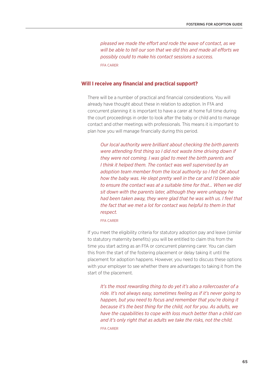*pleased we made the effort and rode the wave of contact, as we will be able to tell our son that we did this and made all efforts we possibly could to make his contact sessions a success.*  FFA CARER

#### **Will I receive any financial and practical support?**

There will be a number of practical and financial considerations. You will already have thought about these in relation to adoption. In FfA and concurrent planning it is important to have a carer at home full time during the court proceedings in order to look after the baby or child and to manage contact and other meetings with professionals. This means it is important to plan how you will manage financially during this period.

*Our local authority were brilliant about checking the birth parents were attending first thing so I did not waste time driving down if they were not coming. I was glad to meet the birth parents and I think it helped them. The contact was well supervised by an adoption team member from the local authority so I felt OK about how the baby was. He slept pretty well in the car and I'd been able to ensure the contact was at a suitable time for that… When we did sit down with the parents later, although they were unhappy he had been taken away, they were glad that he was with us. I feel that the fact that we met a lot for contact was helpful to them in that respect.* 

#### FFA CARER

If you meet the eligibility criteria for statutory adoption pay and leave (similar to statutory maternity benefits) you will be entitled to claim this from the time you start acting as an FfA or concurrent planning carer. You can claim this from the start of the fostering placement or delay taking it until the placement for adoption happens. However, you need to discuss these options with your employer to see whether there are advantages to taking it from the start of the placement.

*It's the most rewarding thing to do yet it's also a rollercoaster of a ride. It's not always easy, sometimes feeling as if it's never going to happen, but you need to focus and remember that you're doing it because it's the best thing for the child, not for you. As adults, we have the capabilities to cope with loss much better than a child can and it's only right that as adults we take the risks, not the child.*  FFA CARER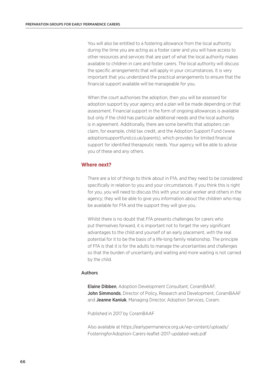You will also be entitled to a fostering allowance from the local authority during the time you are acting as a foster carer and you will have access to other resources and services that are part of what the local authority makes available to children in care and foster carers. The local authority will discuss the specific arrangements that will apply in your circumstances. It is very important that you understand the practical arrangements to ensure that the financial support available will be manageable for you.

When the court authorises the adoption, then you will be assessed for adoption support by your agency and a plan will be made depending on that assessment. Financial support in the form of ongoing allowances is available but only if the child has particular additional needs and the local authority is in agreement. Additionally, there are some benefits that adopters can claim, for example, child tax credit, and the Adoption Support Fund (www. adoptionsupportfund.co.uk/parents), which provides for limited financial support for identified therapeutic needs. Your agency will be able to advise you of these and any others.

#### **Where next?**

There are a lot of things to think about in FfA, and they need to be considered specifically in relation to you and your circumstances. If you think this is right for you, you will need to discuss this with your social worker and others in the agency; they will be able to give you information about the children who may be available for FfA and the support they will give you.

Whilst there is no doubt that FfA presents challenges for carers who put themselves forward, it is important not to forget the very significant advantages to the child and yourself of an early placement, with the real potential for it to be the basis of a life-long family relationship. The principle of FfA is that it is for the adults to manage the uncertainties and challenges so that the burden of uncertainty and waiting and more waiting is not carried by the child.

#### Authors

Elaine Dibben, Adoption Development Consultant, CoramBAAF, John Simmonds, Director of Policy, Research and Development, CoramBAAF and Jeanne Kaniuk, Managing Director, Adoption Services, Coram.

Published in 2017 by CoramBAAF

Also available at https://earlypermanence.org.uk/wp-content/uploads/ FosteringforAdoption-Carers-leaflet-2017-updated-web.pdf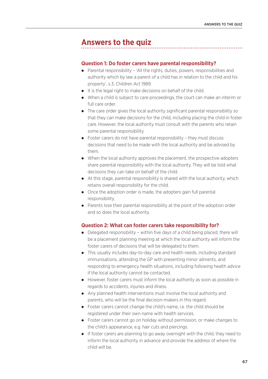# **Answers to the quiz**

#### **Question 1: Do foster carers have parental responsibility?**

- Parental responsibility 'All the rights, duties, powers, responsibilities and authority which by law a parent of a child has in relation to the child and his property', s.3, Children Act 1989.
- It is the legal right to make decisions on behalf of the child.
- When a child is subject to care proceedings, the court can make an interim or full care order.
- The care order gives the local authority significant parental responsibility so that they can make decisions for the child, including placing the child in foster care. However, the local authority must consult with the parents who retain some parental responsibility.
- Foster carers do not have parental responsibility they must discuss decisions that need to be made with the local authority and be advised by them.
- When the local authority approves the placement, the prospective adopters share parental responsibility with the local authority. They will be told what decisions they can take on behalf of the child.
- At this stage, parental responsibility is shared with the local authority, which retains overall responsibility for the child.
- Once the adoption order is made, the adopters gain full parental responsibility.
- Parents lose their parental responsibility at the point of the adoption order and so does the local authority.

#### **Question 2: What can foster carers take responsibility for?**

- Delegated responsibility within five days of a child being placed, there will be a placement planning meeting at which the local authority will inform the foster carers of decisions that will be delegated to them.
- This usually includes day-to-day care and health needs, including standard immunisations, attending the GP with presenting minor ailments, and responding to emergency health situations, including following health advice if the local authority cannot be contacted.
- However, foster carers must inform the local authority as soon as possible in regards to accidents, injuries and illness.
- Any planned health interventions must involve the local authority and parents, who will be the final decision-makers in this regard.
- Foster carers cannot change the child's name, i.e. the child should be registered under their own name with health services.
- Foster carers cannot go on holiday without permission, or make changes to the child's appearance, e.g. hair cuts and piercings.
- If foster carers are planning to go away overnight with the child, they need to inform the local authority in advance and provide the address of where the child will be.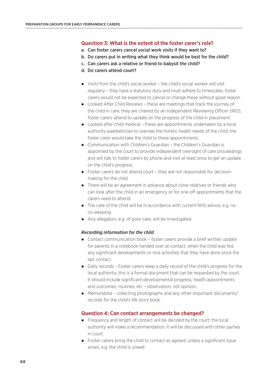# **Question 3: What is the extent of the foster carer's role?**

- a. Can foster carers cancel social work visits if they want to?
- b. Do carers put in writing what they think would be best for the child?
- c. Can carers ask a relative or friend to babysit the child?
- d. Do carers attend court?
- Visits from the child's social worker the child's social worker will visit regularly – they have a statutory duty and must adhere to timescales; foster carers would not be expected to cancel or change these without good reason.
- Looked After Child Reviews these are meetings that track the journey of the child in care; they are chaired by an Independent Reviewing Officer (IRO); foster carers attend to update on the progress of the child in placement.
- Looked after child medical these are appointments undertaken by a local authority paediatrician to oversee the holistic health needs of the child; the foster carer would take the child to these appointments.
- Communication with Children's Guardian the Children's Guardian is appointed by the court to provide independent oversight of care proceedings and will talk to foster carers by phone and visit at least once to get an update on the child's progress.
- Foster carers do not attend court they are not responsible for decisionmaking for the child.
- There will be an agreement in advance about close relatives or friends who can look after the child in an emergency or for one-off appointments that the carers need to attend.
- The care of the child will be in accordance with current NHS advice, e.g. no co-sleeping.
- Any allegation, e.g. of poor care, will be investigated.

#### *Recording information for the child*

- Contact communication book foster carers provide a brief written update for parents in a notebook handed over at contact: when the child was fed, any significant developments or nice activities that they have done since the last contact.
- Daily records Foster carers keep a daily record of the child's progress for the local authority; this is a formal document that can be requested by the court. It should include significant developmental progress, health appointments and outcomes, routines, etc – observation, not opinion.
- Memorabilia collecting photographs and any other important documents/ records for the child's life story book.

# **Question 4: Can contact arrangements be changed?**

- Frequency and length of contact will be decided by the court; the local authority will make a recommendation, it will be discussed with other parties in court.
- Foster carers bring the child to contact as agreed, unless a significant issue arises, e.g. the child is unwell.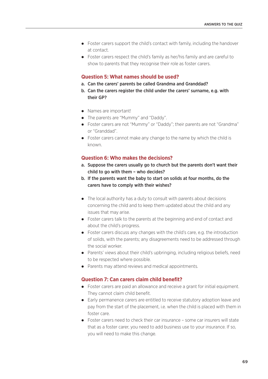- Foster carers support the child's contact with family, including the handover at contact.
- Foster carers respect the child's family as her/his family and are careful to show to parents that they recognise their role as foster carers.

# **Question 5: What names should be used?**

- a. Can the carers' parents be called Grandma and Granddad?
- b. Can the carers register the child under the carers' surname, e.g. with their GP?
- Names are important!
- The parents are "Mummy" and "Daddy".
- Foster carers are not "Mummy" or "Daddy"; their parents are not "Grandma" or "Granddad".
- Foster carers cannot make any change to the name by which the child is known.

# **Question 6: Who makes the decisions?**

- a. Suppose the carers usually go to church but the parents don't want their child to go with them – who decides?
- b. If the parents want the baby to start on solids at four months, do the carers have to comply with their wishes?
- The local authority has a duty to consult with parents about decisions concerning the child and to keep them updated about the child and any issues that may arise.
- Foster carers talk to the parents at the beginning and end of contact and about the child's progress.
- Foster carers discuss any changes with the child's care, e.g. the introduction of solids, with the parents; any disagreements need to be addressed through the social worker.
- Parents' views about their child's upbringing, including religious beliefs, need to be respected where possible.
- Parents may attend reviews and medical appointments.

# **Question 7: Can carers claim child benefit?**

- Foster carers are paid an allowance and receive a grant for initial equipment. They cannot claim child benefit.
- Early permanence carers are entitled to receive statutory adoption leave and pay from the start of the placement, i.e. when the child is placed with them in foster care.
- Foster carers need to check their car insurance some car insurers will state that as a foster carer, you need to add business use to your insurance. If so, you will need to make this change.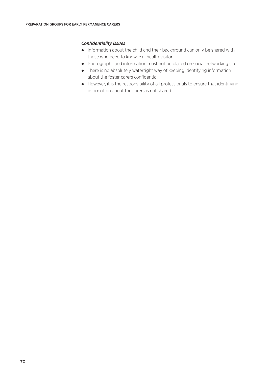# *Confidentiality issues*

- Information about the child and their background can only be shared with those who need to know, e.g. health visitor.
- Photographs and information must not be placed on social networking sites.
- There is no absolutely watertight way of keeping identifying information about the foster carers confidential.
- However, it is the responsibility of all professionals to ensure that identifying information about the carers is not shared.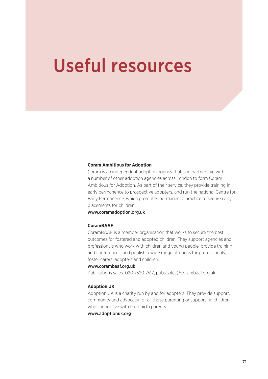# Useful resources

#### **Coram Ambitious for Adoption**

Coram is an independent adoption agency that is in partnership with a number of other adoption agencies across London to form Coram Ambitious for Adoption. As part of their service, they provide training in early permanence to prospective adopters, and run the national Centre for Early Permanence, which promotes permanence practice to secure early placements for children.

www.coramadoption.org.uk

### **CoramBAAF**

CoramBAAF is a member organisation that works to secure the best outcomes for fostered and adopted children. They support agencies and professionals who work with children and young people, provide training and conferences, and publish a wide range of books for professionals, foster carers, adopters and children.

#### www.corambaaf.org.uk

Publications sales: 020 7520 7517; pubs.sales@corambaaf.org.uk

#### **Adoption UK**

Adoption UK is a charity run by and for adopters. They provide support, community and advocacy for all those parenting or supporting children who cannot live with their birth parents.

# www.adoptionuk.org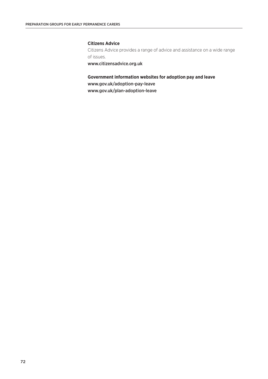# **Citizens Advice**

Citizens Advice provides a range of advice and assistance on a wide range of issues.

www.citizensadvice.org.uk

# **Government information websites for adoption pay and leave**

www.gov.uk/adoption-pay-leave

www.gov.uk/plan-adoption-leave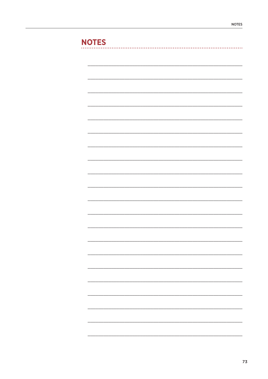# **NOTES**